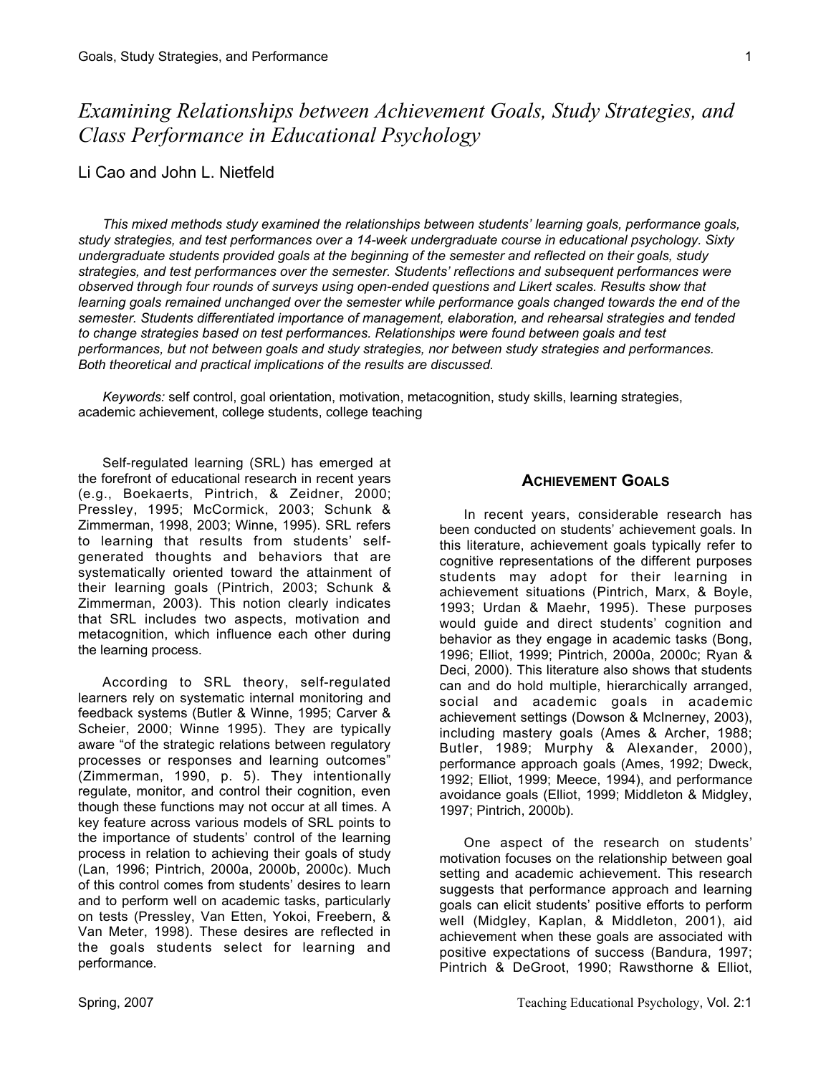*Examining Relationships between Achievement Goals, Study Strategies, and Class Performance in Educational Psychology*

## Li Cao and John L. Nietfeld

*This mixed methods study examined the relationships between students' learning goals, performance goals, study strategies, and test performances over a 14-week undergraduate course in educational psychology. Sixty undergraduate students provided goals at the beginning of the semester and reflected on their goals, study strategies, and test performances over the semester. Students' reflections and subsequent performances were observed through four rounds of surveys using open-ended questions and Likert scales. Results show that learning goals remained unchanged over the semester while performance goals changed towards the end of the semester. Students differentiated importance of management, elaboration, and rehearsal strategies and tended to change strategies based on test performances. Relationships were found between goals and test performances, but not between goals and study strategies, nor between study strategies and performances. Both theoretical and practical implications of the results are discussed.*

*Keywords:* self control, goal orientation, motivation, metacognition, study skills, learning strategies, academic achievement, college students, college teaching

Self-regulated learning (SRL) has emerged at the forefront of educational research in recent years (e.g., Boekaerts, Pintrich, & Zeidner, 2000; Pressley, 1995; McCormick, 2003; Schunk & Zimmerman, 1998, 2003; Winne, 1995). SRL refers to learning that results from students' selfgenerated thoughts and behaviors that are systematically oriented toward the attainment of their learning goals (Pintrich, 2003; Schunk & Zimmerman, 2003). This notion clearly indicates that SRL includes two aspects, motivation and metacognition, which influence each other during the learning process.

According to SRL theory, self-regulated learners rely on systematic internal monitoring and feedback systems (Butler & Winne, 1995; Carver & Scheier, 2000; Winne 1995). They are typically aware "of the strategic relations between regulatory processes or responses and learning outcomes" (Zimmerman, 1990, p. 5). They intentionally regulate, monitor, and control their cognition, even though these functions may not occur at all times. A key feature across various models of SRL points to the importance of students' control of the learning process in relation to achieving their goals of study (Lan, 1996; Pintrich, 2000a, 2000b, 2000c). Much of this control comes from students' desires to learn and to perform well on academic tasks, particularly on tests (Pressley, Van Etten, Yokoi, Freebern, & Van Meter, 1998). These desires are reflected in the goals students select for learning and performance.

## **ACHIEVEMENT GOALS**

In recent years, considerable research has been conducted on students' achievement goals. In this literature, achievement goals typically refer to cognitive representations of the different purposes students may adopt for their learning in achievement situations (Pintrich, Marx, & Boyle, 1993; Urdan & Maehr, 1995). These purposes would guide and direct students' cognition and behavior as they engage in academic tasks (Bong, 1996; Elliot, 1999; Pintrich, 2000a, 2000c; Ryan & Deci, 2000). This literature also shows that students can and do hold multiple, hierarchically arranged, social and academic goals in academic achievement settings (Dowson & McInerney, 2003), including mastery goals (Ames & Archer, 1988; Butler, 1989; Murphy & Alexander, 2000), performance approach goals (Ames, 1992; Dweck, 1992; Elliot, 1999; Meece, 1994), and performance avoidance goals (Elliot, 1999; Middleton & Midgley, 1997; Pintrich, 2000b).

One aspect of the research on students' motivation focuses on the relationship between goal setting and academic achievement. This research suggests that performance approach and learning goals can elicit students' positive efforts to perform well (Midgley, Kaplan, & Middleton, 2001), aid achievement when these goals are associated with positive expectations of success (Bandura, 1997; Pintrich & DeGroot, 1990; Rawsthorne & Elliot,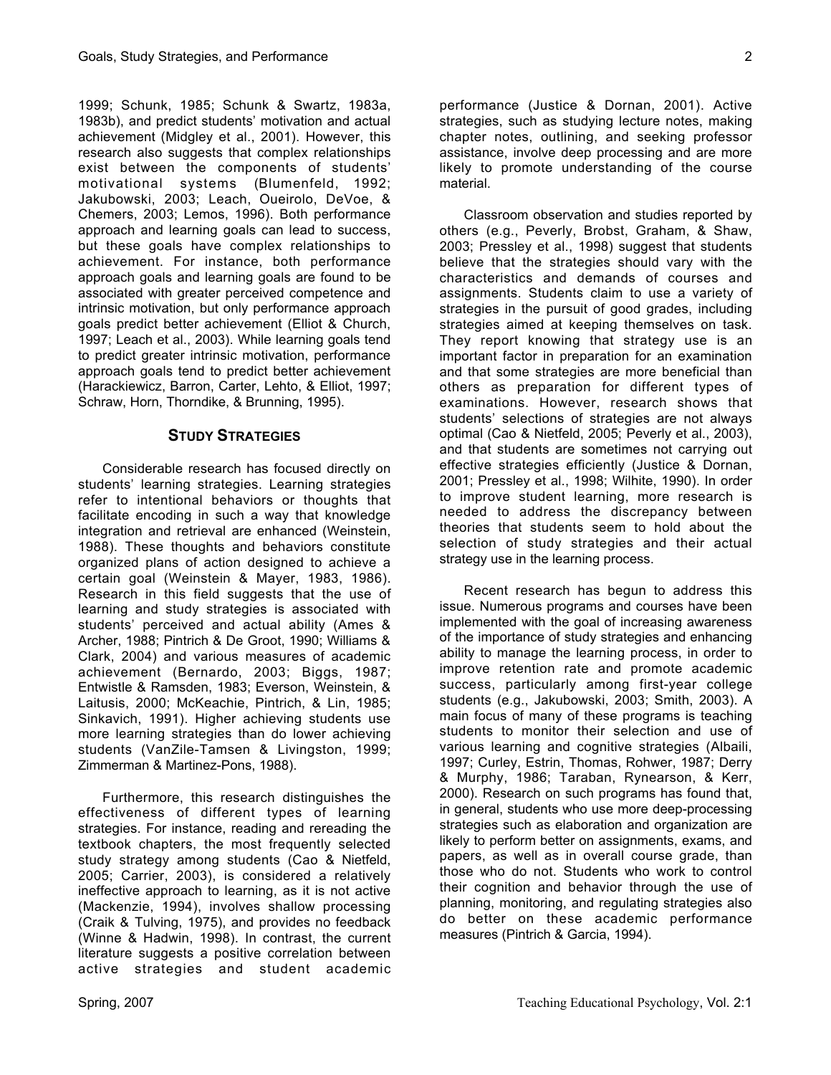1999; Schunk, 1985; Schunk & Swartz, 1983a, 1983b), and predict students' motivation and actual achievement (Midgley et al., 2001). However, this research also suggests that complex relationships exist between the components of students' motivational systems (Blumenfeld, 1992; Jakubowski, 2003; Leach, Oueirolo, DeVoe, & Chemers, 2003; Lemos, 1996). Both performance approach and learning goals can lead to success, but these goals have complex relationships to achievement. For instance, both performance approach goals and learning goals are found to be associated with greater perceived competence and intrinsic motivation, but only performance approach goals predict better achievement (Elliot & Church, 1997; Leach et al., 2003). While learning goals tend to predict greater intrinsic motivation, performance approach goals tend to predict better achievement (Harackiewicz, Barron, Carter, Lehto, & Elliot, 1997; Schraw, Horn, Thorndike, & Brunning, 1995).

## **STUDY STRATEGIES**

Considerable research has focused directly on students' learning strategies. Learning strategies refer to intentional behaviors or thoughts that facilitate encoding in such a way that knowledge integration and retrieval are enhanced (Weinstein, 1988). These thoughts and behaviors constitute organized plans of action designed to achieve a certain goal (Weinstein & Mayer, 1983, 1986). Research in this field suggests that the use of learning and study strategies is associated with students' perceived and actual ability (Ames & Archer, 1988; Pintrich & De Groot, 1990; Williams & Clark, 2004) and various measures of academic achievement (Bernardo, 2003; Biggs, 1987; Entwistle & Ramsden, 1983; Everson, Weinstein, & Laitusis, 2000; McKeachie, Pintrich, & Lin, 1985; Sinkavich, 1991). Higher achieving students use more learning strategies than do lower achieving students (VanZile-Tamsen & Livingston, 1999; Zimmerman & Martinez-Pons, 1988).

Furthermore, this research distinguishes the effectiveness of different types of learning strategies. For instance, reading and rereading the textbook chapters, the most frequently selected study strategy among students (Cao & Nietfeld, 2005; Carrier, 2003), is considered a relatively ineffective approach to learning, as it is not active (Mackenzie, 1994), involves shallow processing (Craik & Tulving, 1975), and provides no feedback (Winne & Hadwin, 1998). In contrast, the current literature suggests a positive correlation between active strategies and student academic

Classroom observation and studies reported by others (e.g., Peverly, Brobst, Graham, & Shaw, 2003; Pressley et al., 1998) suggest that students believe that the strategies should vary with the characteristics and demands of courses and assignments. Students claim to use a variety of strategies in the pursuit of good grades, including strategies aimed at keeping themselves on task. They report knowing that strategy use is an important factor in preparation for an examination and that some strategies are more beneficial than others as preparation for different types of examinations. However, research shows that students' selections of strategies are not always optimal (Cao & Nietfeld, 2005; Peverly et al., 2003), and that students are sometimes not carrying out effective strategies efficiently (Justice & Dornan, 2001; Pressley et al., 1998; Wilhite, 1990). In order to improve student learning, more research is needed to address the discrepancy between theories that students seem to hold about the selection of study strategies and their actual strategy use in the learning process.

Recent research has begun to address this issue. Numerous programs and courses have been implemented with the goal of increasing awareness of the importance of study strategies and enhancing ability to manage the learning process, in order to improve retention rate and promote academic success, particularly among first-year college students (e.g., Jakubowski, 2003; Smith, 2003). A main focus of many of these programs is teaching students to monitor their selection and use of various learning and cognitive strategies (Albaili, 1997; Curley, Estrin, Thomas, Rohwer, 1987; Derry & Murphy, 1986; Taraban, Rynearson, & Kerr, 2000). Research on such programs has found that, in general, students who use more deep-processing strategies such as elaboration and organization are likely to perform better on assignments, exams, and papers, as well as in overall course grade, than those who do not. Students who work to control their cognition and behavior through the use of planning, monitoring, and regulating strategies also do better on these academic performance measures (Pintrich & Garcia, 1994).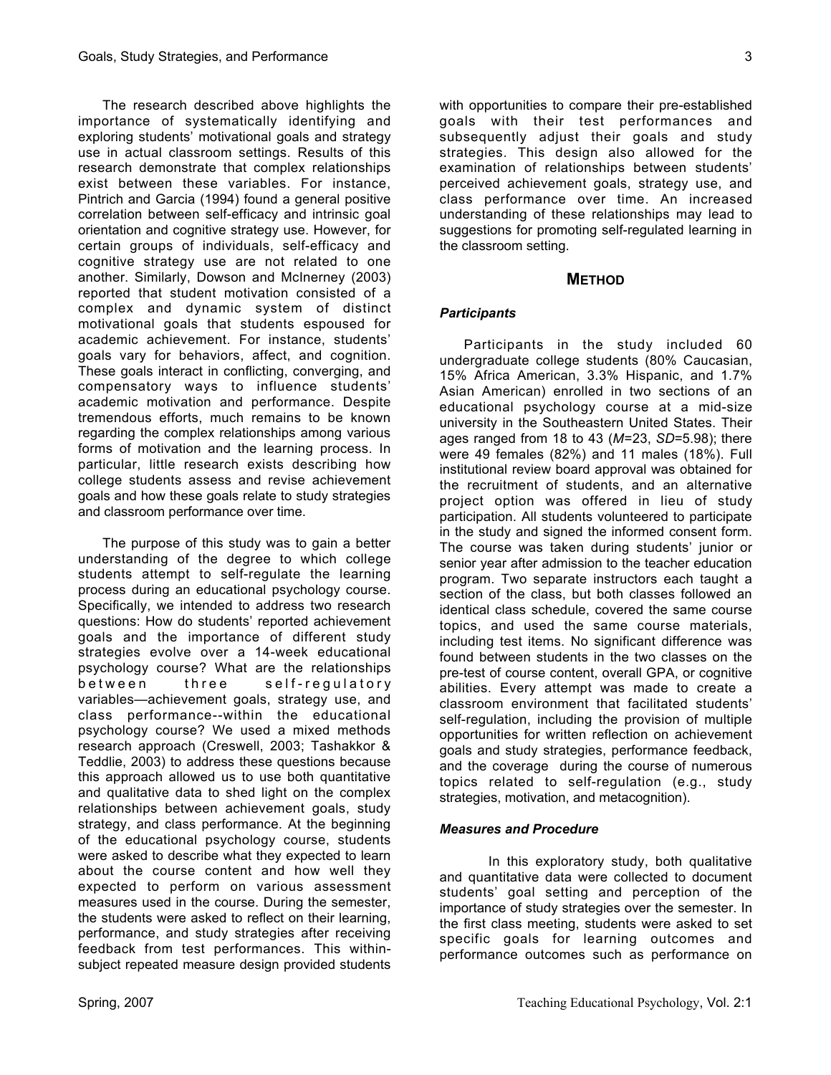The research described above highlights the importance of systematically identifying and exploring students' motivational goals and strategy use in actual classroom settings. Results of this research demonstrate that complex relationships exist between these variables. For instance, Pintrich and Garcia (1994) found a general positive correlation between self-efficacy and intrinsic goal orientation and cognitive strategy use. However, for certain groups of individuals, self-efficacy and cognitive strategy use are not related to one another. Similarly, Dowson and McInerney (2003) reported that student motivation consisted of a complex and dynamic system of distinct motivational goals that students espoused for academic achievement. For instance, students' goals vary for behaviors, affect, and cognition. These goals interact in conflicting, converging, and compensatory ways to influence students' academic motivation and performance. Despite tremendous efforts, much remains to be known regarding the complex relationships among various forms of motivation and the learning process. In particular, little research exists describing how college students assess and revise achievement goals and how these goals relate to study strategies and classroom performance over time.

The purpose of this study was to gain a better understanding of the degree to which college students attempt to self-regulate the learning process during an educational psychology course. Specifically, we intended to address two research questions: How do students' reported achievement goals and the importance of different study strategies evolve over a 14-week educational psychology course? What are the relationships between three self-regulatory variables—achievement goals, strategy use, and class performance--within the educational psychology course? We used a mixed methods research approach (Creswell, 2003; Tashakkor & Teddlie, 2003) to address these questions because this approach allowed us to use both quantitative and qualitative data to shed light on the complex relationships between achievement goals, study strategy, and class performance. At the beginning of the educational psychology course, students were asked to describe what they expected to learn about the course content and how well they expected to perform on various assessment measures used in the course. During the semester, the students were asked to reflect on their learning, performance, and study strategies after receiving feedback from test performances. This withinsubject repeated measure design provided students

with opportunities to compare their pre-established goals with their test performances and subsequently adjust their goals and study strategies. This design also allowed for the examination of relationships between students' perceived achievement goals, strategy use, and class performance over time. An increased understanding of these relationships may lead to suggestions for promoting self-regulated learning in the classroom setting.

## **METHOD**

## *Participants*

Participants in the study included 60 undergraduate college students (80% Caucasian, 15% Africa American, 3.3% Hispanic, and 1.7% Asian American) enrolled in two sections of an educational psychology course at a mid-size university in the Southeastern United States. Their ages ranged from 18 to 43 (*M*=23, *SD*=5.98); there were 49 females (82%) and 11 males (18%). Full institutional review board approval was obtained for the recruitment of students, and an alternative project option was offered in lieu of study participation. All students volunteered to participate in the study and signed the informed consent form. The course was taken during students' junior or senior year after admission to the teacher education program. Two separate instructors each taught a section of the class, but both classes followed an identical class schedule, covered the same course topics, and used the same course materials, including test items. No significant difference was found between students in the two classes on the pre-test of course content, overall GPA, or cognitive abilities. Every attempt was made to create a classroom environment that facilitated students' self-regulation, including the provision of multiple opportunities for written reflection on achievement goals and study strategies, performance feedback, and the coverage during the course of numerous topics related to self-regulation (e.g., study strategies, motivation, and metacognition).

#### *Measures and Procedure*

In this exploratory study, both qualitative and quantitative data were collected to document students' goal setting and perception of the importance of study strategies over the semester. In the first class meeting, students were asked to set specific goals for learning outcomes and performance outcomes such as performance on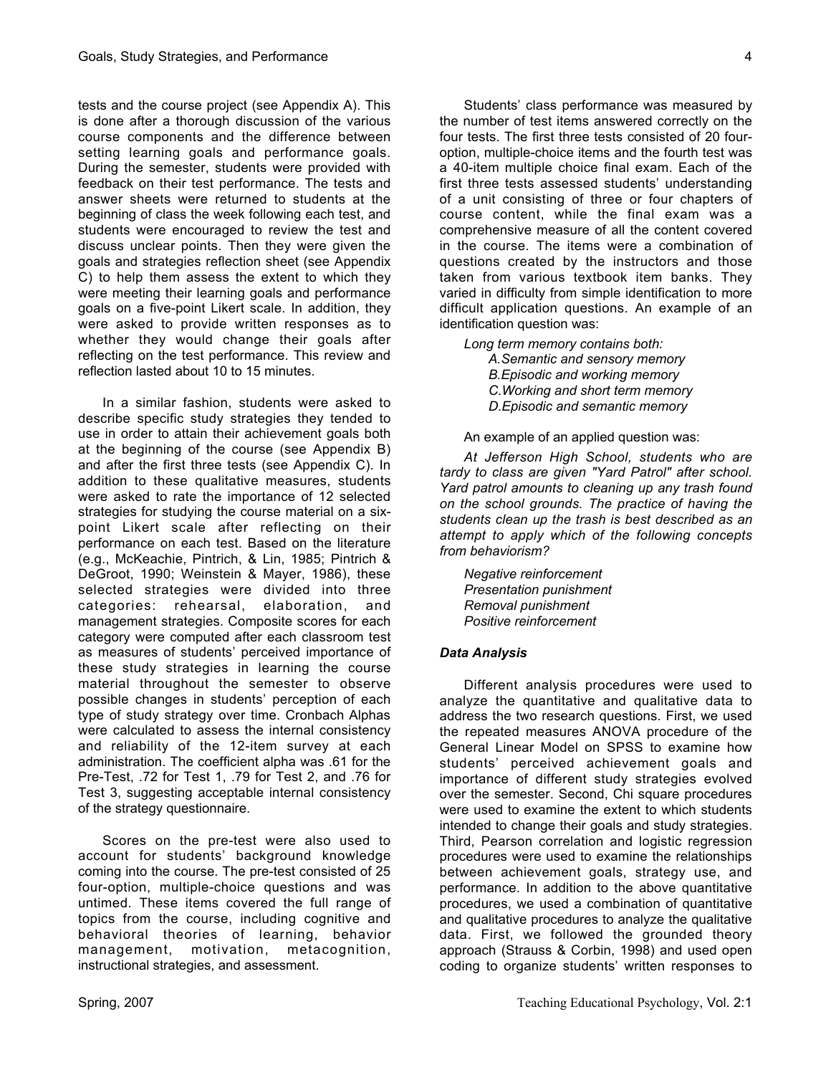tests and the course project (see Appendix A). This is done after a thorough discussion of the various course components and the difference between setting learning goals and performance goals. During the semester, students were provided with feedback on their test performance. The tests and answer sheets were returned to students at the beginning of class the week following each test, and students were encouraged to review the test and discuss unclear points. Then they were given the goals and strategies reflection sheet (see Appendix C) to help them assess the extent to which they were meeting their learning goals and performance goals on a five-point Likert scale. In addition, they were asked to provide written responses as to whether they would change their goals after reflecting on the test performance. This review and reflection lasted about 10 to 15 minutes.

In a similar fashion, students were asked to describe specific study strategies they tended to use in order to attain their achievement goals both at the beginning of the course (see Appendix B) and after the first three tests (see Appendix C). In addition to these qualitative measures, students were asked to rate the importance of 12 selected strategies for studying the course material on a sixpoint Likert scale after reflecting on their performance on each test. Based on the literature (e.g., McKeachie, Pintrich, & Lin, 1985; Pintrich & DeGroot, 1990; Weinstein & Mayer, 1986), these selected strategies were divided into three categories: rehearsal, elaboration, and management strategies. Composite scores for each category were computed after each classroom test as measures of students' perceived importance of these study strategies in learning the course material throughout the semester to observe possible changes in students' perception of each type of study strategy over time. Cronbach Alphas were calculated to assess the internal consistency and reliability of the 12-item survey at each administration. The coefficient alpha was .61 for the Pre-Test, .72 for Test 1, .79 for Test 2, and .76 for Test 3, suggesting acceptable internal consistency of the strategy questionnaire.

Scores on the pre-test were also used to account for students' background knowledge coming into the course. The pre-test consisted of 25 four-option, multiple-choice questions and was untimed. These items covered the full range of topics from the course, including cognitive and behavioral theories of learning, behavior management, motivation, metacognition, instructional strategies, and assessment.

Students' class performance was measured by the number of test items answered correctly on the four tests. The first three tests consisted of 20 fouroption, multiple-choice items and the fourth test was a 40-item multiple choice final exam. Each of the first three tests assessed students' understanding of a unit consisting of three or four chapters of course content, while the final exam was a comprehensive measure of all the content covered in the course. The items were a combination of questions created by the instructors and those taken from various textbook item banks. They varied in difficulty from simple identification to more difficult application questions. An example of an identification question was:

*Long term memory contains both: A.Semantic and sensory memory B.Episodic and working memory C.Working and short term memory D.Episodic and semantic memory*

An example of an applied question was:

*At Jefferson High School, students who are tardy to class are given "Yard Patrol" after school. Yard patrol amounts to cleaning up any trash found on the school grounds. The practice of having the students clean up the trash is best described as an attempt to apply which of the following concepts from behaviorism?*

*Negative reinforcement Presentation punishment Removal punishment Positive reinforcement*

#### *Data Analysis*

Different analysis procedures were used to analyze the quantitative and qualitative data to address the two research questions. First, we used the repeated measures ANOVA procedure of the General Linear Model on SPSS to examine how students' perceived achievement goals and importance of different study strategies evolved over the semester. Second, Chi square procedures were used to examine the extent to which students intended to change their goals and study strategies. Third, Pearson correlation and logistic regression procedures were used to examine the relationships between achievement goals, strategy use, and performance. In addition to the above quantitative procedures, we used a combination of quantitative and qualitative procedures to analyze the qualitative data. First, we followed the grounded theory approach (Strauss & Corbin, 1998) and used open coding to organize students' written responses to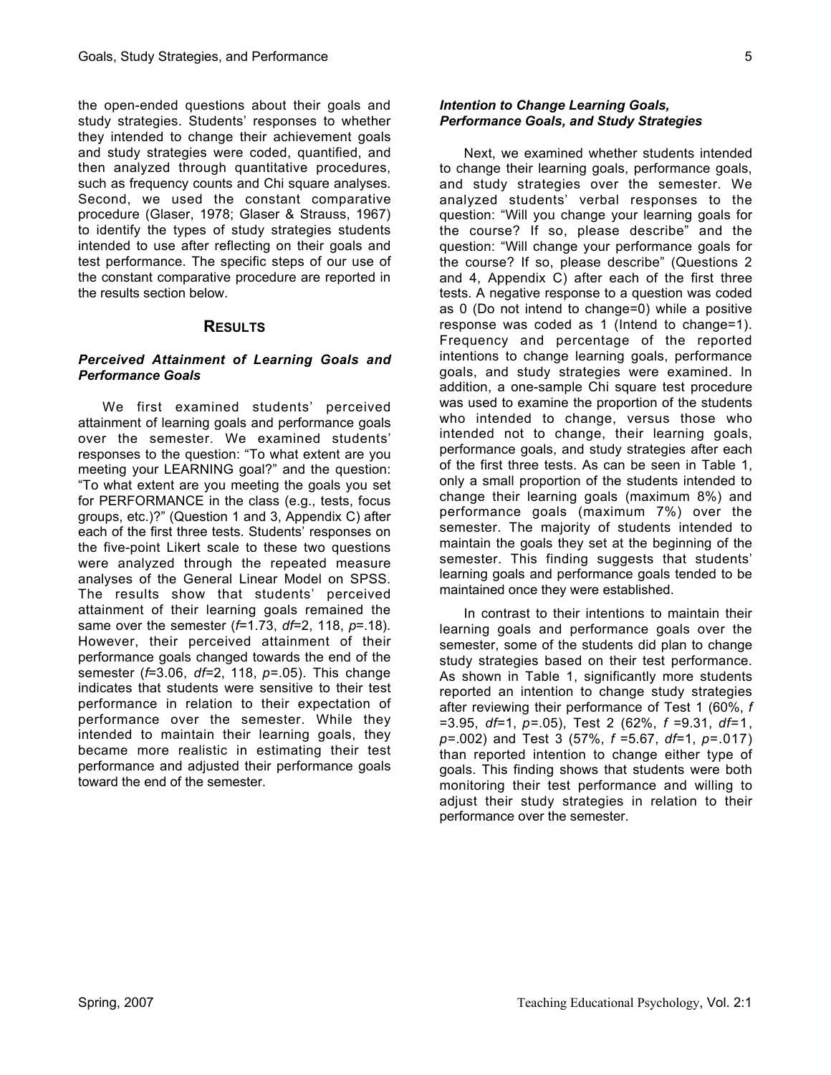the open-ended questions about their goals and study strategies. Students' responses to whether they intended to change their achievement goals and study strategies were coded, quantified, and then analyzed through quantitative procedures, such as frequency counts and Chi square analyses. Second, we used the constant comparative procedure (Glaser, 1978; Glaser & Strauss, 1967) to identify the types of study strategies students intended to use after reflecting on their goals and test performance. The specific steps of our use of the constant comparative procedure are reported in the results section below.

## **RESULTS**

#### *Perceived Attainment of Learning Goals and Performance Goals*

We first examined students' perceived attainment of learning goals and performance goals over the semester. We examined students' responses to the question: "To what extent are you meeting your LEARNING goal?" and the question: "To what extent are you meeting the goals you set for PERFORMANCE in the class (e.g., tests, focus groups, etc.)?" (Question 1 and 3, Appendix C) after each of the first three tests. Students' responses on the five-point Likert scale to these two questions were analyzed through the repeated measure analyses of the General Linear Model on SPSS. The results show that students' perceived attainment of their learning goals remained the same over the semester (*f*=1.73, *df*=2, 118, *p*=.18). However, their perceived attainment of their performance goals changed towards the end of the semester (*f*=3.06, *df*=2, 118, *p*=.05). This change indicates that students were sensitive to their test performance in relation to their expectation of performance over the semester. While they intended to maintain their learning goals, they became more realistic in estimating their test performance and adjusted their performance goals toward the end of the semester.

## *Intention to Change Learning Goals, Performance Goals, and Study Strategies*

Next, we examined whether students intended to change their learning goals, performance goals, and study strategies over the semester. We analyzed students' verbal responses to the question: "Will you change your learning goals for the course? If so, please describe" and the question: "Will change your performance goals for the course? If so, please describe" (Questions 2 and 4, Appendix C) after each of the first three tests. A negative response to a question was coded as 0 (Do not intend to change=0) while a positive response was coded as 1 (Intend to change=1). Frequency and percentage of the reported intentions to change learning goals, performance goals, and study strategies were examined. In addition, a one-sample Chi square test procedure was used to examine the proportion of the students who intended to change, versus those who intended not to change, their learning goals, performance goals, and study strategies after each of the first three tests. As can be seen in Table 1, only a small proportion of the students intended to change their learning goals (maximum 8%) and performance goals (maximum 7%) over the semester. The majority of students intended to maintain the goals they set at the beginning of the semester. This finding suggests that students' learning goals and performance goals tended to be maintained once they were established.

In contrast to their intentions to maintain their learning goals and performance goals over the semester, some of the students did plan to change study strategies based on their test performance. As shown in Table 1, significantly more students reported an intention to change study strategies after reviewing their performance of Test 1 (60%, *f* =3.95, *df*=1, *p*=.05), Test 2 (62%, *f* =9.31, *df*=1, *p*=.002) and Test 3 (57%, *f* =5.67, *df*=1, *p*=.017) than reported intention to change either type of goals. This finding shows that students were both monitoring their test performance and willing to adjust their study strategies in relation to their performance over the semester.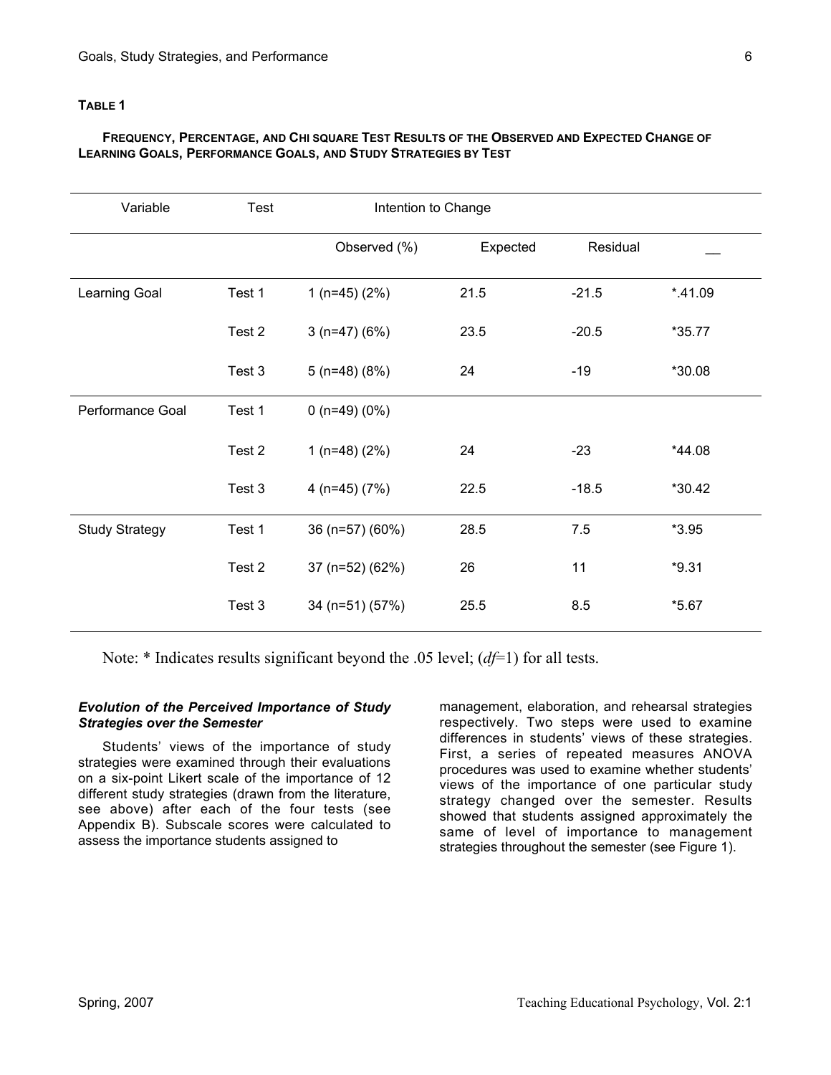## **TABLE 1**

#### **FREQUENCY, PERCENTAGE, AND CHI SQUARE TEST RESULTS OF THE OBSERVED AND EXPECTED CHANGE OF LEARNING GOALS, PERFORMANCE GOALS, AND STUDY STRATEGIES BY TEST**

| Variable              | Test   | Intention to Change    |          |          |          |
|-----------------------|--------|------------------------|----------|----------|----------|
|                       |        | Observed (%)           | Expected | Residual |          |
| Learning Goal         | Test 1 | 1 ( $n=45$ ) ( $2\%$ ) | 21.5     | $-21.5$  | $*41.09$ |
|                       | Test 2 | $3(n=47)(6%)$          | 23.5     | $-20.5$  | $*35.77$ |
|                       | Test 3 | $5(n=48)(8%)$          | 24       | $-19$    | *30.08   |
| Performance Goal      | Test 1 | 0 $(n=49)(0%)$         |          |          |          |
|                       | Test 2 | 1 ( $n=48$ ) ( $2\%$ ) | 24       | $-23$    | *44.08   |
|                       | Test 3 | 4 ( $n=45$ ) ( $7\%$ ) | 22.5     | $-18.5$  | *30.42   |
| <b>Study Strategy</b> | Test 1 | 36 (n=57) (60%)        | 28.5     | 7.5      | $*3.95$  |
|                       | Test 2 | 37 (n=52) (62%)        | 26       | 11       | $*9.31$  |
|                       | Test 3 | 34 (n=51) (57%)        | 25.5     | 8.5      | $*5.67$  |

Note: \* Indicates results significant beyond the .05 level; (*df*=1) for all tests.

#### *Evolution of the Perceived Importance of Study Strategies over the Semester*

Students' views of the importance of study strategies were examined through their evaluations on a six-point Likert scale of the importance of 12 different study strategies (drawn from the literature, see above) after each of the four tests (see Appendix B). Subscale scores were calculated to assess the importance students assigned to

management, elaboration, and rehearsal strategies respectively. Two steps were used to examine differences in students' views of these strategies. First, a series of repeated measures ANOVA procedures was used to examine whether students' views of the importance of one particular study strategy changed over the semester. Results showed that students assigned approximately the same of level of importance to management strategies throughout the semester (see Figure 1).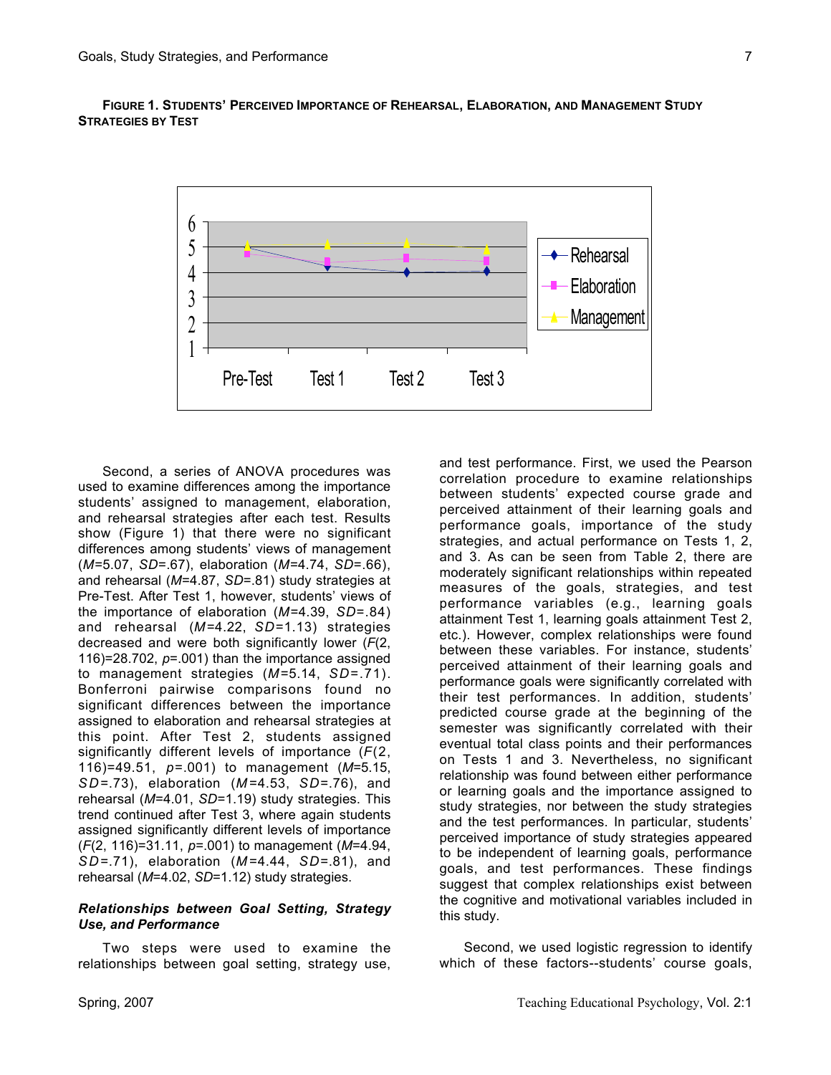



Second, a series of ANOVA procedures was used to examine differences among the importance students' assigned to management, elaboration, and rehearsal strategies after each test. Results show (Figure 1) that there were no significant differences among students' views of management (*M*=5.07, *SD*=.67), elaboration (*M*=4.74, *SD*=.66), and rehearsal (*M*=4.87, *SD*=.81) study strategies at Pre-Test. After Test 1, however, students' views of the importance of elaboration (*M*=4.39, *SD*=.84) and rehearsal (*M*=4.22, *SD*=1.13) strategies decreased and were both significantly lower (*F*(2, 116)=28.702, *p*=.001) than the importance assigned to management strategies (*M* =5.14, *SD*=.71). Bonferroni pairwise comparisons found no significant differences between the importance assigned to elaboration and rehearsal strategies at this point. After Test 2, students assigned significantly different levels of importance (*F*(2, 116)=49.51, *p*=.001) to management (*M*=5.15, *S D*=.73), elaboration (*M* =4.53, *SD*=.76), and rehearsal (*M*=4.01, *SD*=1.19) study strategies. This trend continued after Test 3, where again students assigned significantly different levels of importance (*F*(2, 116)=31.11, *p*=.001) to management (*M*=4.94, *S D*=.71), elaboration (*M* =4.44, *SD*=.81), and rehearsal (*M*=4.02, *SD*=1.12) study strategies.

#### *Relationships between Goal Setting, Strategy Use, and Performance*

Two steps were used to examine the relationships between goal setting, strategy use,

and test performance. First, we used the Pearson correlation procedure to examine relationships between students' expected course grade and perceived attainment of their learning goals and performance goals, importance of the study strategies, and actual performance on Tests 1, 2, and 3. As can be seen from Table 2, there are moderately significant relationships within repeated measures of the goals, strategies, and test performance variables (e.g., learning goals attainment Test 1, learning goals attainment Test 2, etc.). However, complex relationships were found between these variables. For instance, students' perceived attainment of their learning goals and performance goals were significantly correlated with their test performances. In addition, students' predicted course grade at the beginning of the semester was significantly correlated with their eventual total class points and their performances on Tests 1 and 3. Nevertheless, no significant relationship was found between either performance or learning goals and the importance assigned to study strategies, nor between the study strategies and the test performances. In particular, students' perceived importance of study strategies appeared to be independent of learning goals, performance goals, and test performances. These findings suggest that complex relationships exist between the cognitive and motivational variables included in this study.

Second, we used logistic regression to identify which of these factors--students' course goals,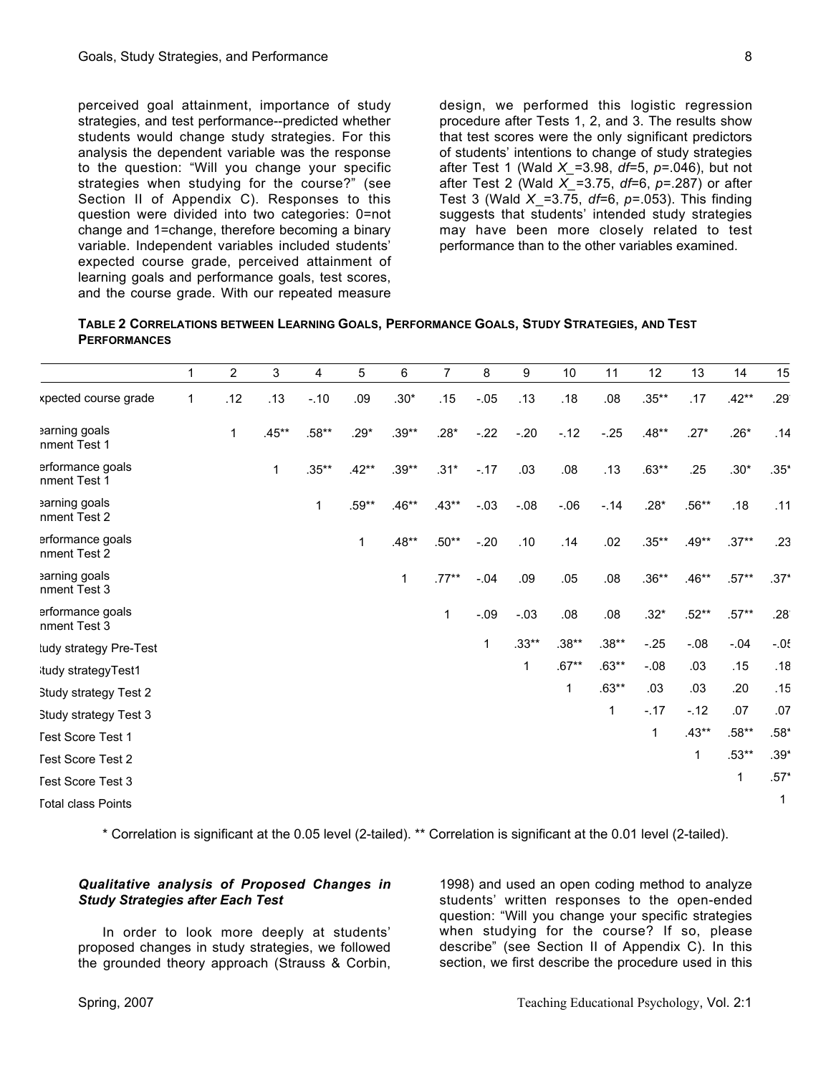perceived goal attainment, importance of study strategies, and test performance--predicted whether students would change study strategies. For this analysis the dependent variable was the response to the question: "Will you change your specific strategies when studying for the course?" (see Section II of Appendix C). Responses to this question were divided into two categories: 0=not change and 1=change, therefore becoming a binary variable. Independent variables included students' expected course grade, perceived attainment of learning goals and performance goals, test scores, and the course grade. With our repeated measure

design, we performed this logistic regression procedure after Tests 1, 2, and 3. The results show that test scores were the only significant predictors of students' intentions to change of study strategies after Test 1 (Wald *X\_*=3.98, *df*=5, *p*=.046), but not after Test 2 (Wald *X\_*=3.75, *df*=6, *p*=.287) or after Test 3 (Wald *X\_*=3.75, *df*=6, *p*=.053). This finding suggests that students' intended study strategies may have been more closely related to test performance than to the other variables examined.

| TABLE 2 CORRELATIONS BETWEEN LEARNING GOALS, PERFORMANCE GOALS, STUDY STRATEGIES, AND TEST |  |  |
|--------------------------------------------------------------------------------------------|--|--|
| <b>PERFORMANCES</b>                                                                        |  |  |

|                                  | 1            | $\overline{2}$ | 3       | 4        | 5       | 6       | $\overline{7}$ | 8      | $\boldsymbol{9}$ | 10      | 11       | 12       | 13      | 14      | 15            |
|----------------------------------|--------------|----------------|---------|----------|---------|---------|----------------|--------|------------------|---------|----------|----------|---------|---------|---------------|
| kpected course grade             | $\mathbf{1}$ | .12            | .13     | $-.10$   | .09     | $.30*$  | .15            | $-.05$ | .13              | .18     | .08      | $.35***$ | .17     | $.42**$ | .29           |
| arning goals<br>nment Test 1     |              | 1              | $.45**$ | .58**    | $.29*$  | $.39**$ | $.28*$         | $-.22$ | $-20$            | $-12$   | $-25$    | .48**    | $.27*$  | $.26*$  | .14           |
| erformance goals<br>nment Test 1 |              |                | 1       | $.35***$ | $.42**$ | $.39**$ | $.31*$         | $-.17$ | .03              | .08     | .13      | $.63**$  | .25     | $.30*$  | $.35*$        |
| arning goals<br>nment Test 2     |              |                |         | 1        | .59**   | $.46**$ | $.43**$        | $-.03$ | $-0.08$          | $-06$   | $-14$    | $.28*$   | $.56**$ | .18     | .11           |
| erformance goals<br>nment Test 2 |              |                |         |          | 1       | $.48**$ | $.50**$        | $-20$  | .10              | .14     | .02      | $.35***$ | $.49**$ | $.37**$ | .23           |
| earning goals<br>nment Test 3    |              |                |         |          |         | 1       | $.77***$       | $-04$  | .09              | .05     | .08      | $.36**$  | $.46**$ | $.57**$ | $.37*$        |
| erformance goals<br>nment Test 3 |              |                |         |          |         |         | 1              | $-.09$ | $-03$            | .08     | .08      | $.32*$   | $.52**$ | $.57**$ | $.28^{\circ}$ |
| tudy strategy Pre-Test           |              |                |         |          |         |         |                | 1      | $.33**$          | $.38**$ | $.38**$  | $-.25$   | $-08$   | $-04$   | $-05$         |
| tudy strategyTest1               |              |                |         |          |         |         |                |        | 1                | .67**   | $.63***$ | $-.08$   | .03     | .15     | .18           |
| <b>Study strategy Test 2</b>     |              |                |         |          |         |         |                |        |                  | 1       | $.63**$  | .03      | .03     | .20     | .15           |
| Study strategy Test 3            |              |                |         |          |         |         |                |        |                  |         | 1        | $-.17$   | $-12$   | .07     | .07           |
| <b>Fest Score Test 1</b>         |              |                |         |          |         |         |                |        |                  |         |          | 1        | $.43**$ | $.58**$ | $.58*$        |
| <b>Fest Score Test 2</b>         |              |                |         |          |         |         |                |        |                  |         |          |          | 1       | $.53**$ | $.39*$        |
| <b>Fest Score Test 3</b>         |              |                |         |          |         |         |                |        |                  |         |          |          |         | 1       | $.57*$        |
| <b>Total class Points</b>        |              |                |         |          |         |         |                |        |                  |         |          |          |         |         | 1             |

\* Correlation is significant at the 0.05 level (2-tailed). \*\* Correlation is significant at the 0.01 level (2-tailed).

#### *Qualitative analysis of Proposed Changes in Study Strategies after Each Test*

In order to look more deeply at students' proposed changes in study strategies, we followed the grounded theory approach (Strauss & Corbin,

1998) and used an open coding method to analyze students' written responses to the open-ended question: "Will you change your specific strategies when studying for the course? If so, please describe" (see Section II of Appendix C). In this section, we first describe the procedure used in this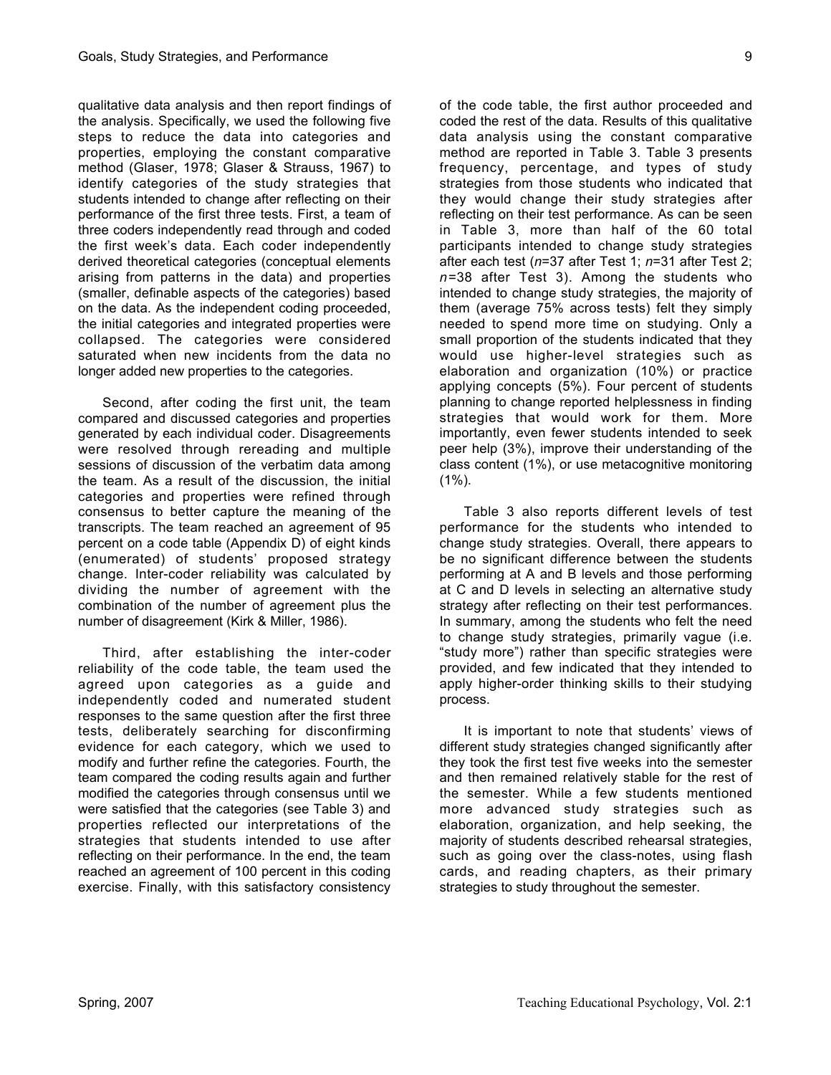qualitative data analysis and then report findings of the analysis. Specifically, we used the following five steps to reduce the data into categories and properties, employing the constant comparative method (Glaser, 1978; Glaser & Strauss, 1967) to identify categories of the study strategies that students intended to change after reflecting on their performance of the first three tests. First, a team of three coders independently read through and coded the first week's data. Each coder independently derived theoretical categories (conceptual elements arising from patterns in the data) and properties (smaller, definable aspects of the categories) based on the data. As the independent coding proceeded, the initial categories and integrated properties were collapsed. The categories were considered saturated when new incidents from the data no longer added new properties to the categories.

Second, after coding the first unit, the team compared and discussed categories and properties generated by each individual coder. Disagreements were resolved through rereading and multiple sessions of discussion of the verbatim data among the team. As a result of the discussion, the initial categories and properties were refined through consensus to better capture the meaning of the transcripts. The team reached an agreement of 95 percent on a code table (Appendix D) of eight kinds (enumerated) of students' proposed strategy change. Inter-coder reliability was calculated by dividing the number of agreement with the combination of the number of agreement plus the number of disagreement (Kirk & Miller, 1986).

Third, after establishing the inter-coder reliability of the code table, the team used the agreed upon categories as a guide and independently coded and numerated student responses to the same question after the first three tests, deliberately searching for disconfirming evidence for each category, which we used to modify and further refine the categories. Fourth, the team compared the coding results again and further modified the categories through consensus until we were satisfied that the categories (see Table 3) and properties reflected our interpretations of the strategies that students intended to use after reflecting on their performance. In the end, the team reached an agreement of 100 percent in this coding exercise. Finally, with this satisfactory consistency

of the code table, the first author proceeded and coded the rest of the data. Results of this qualitative data analysis using the constant comparative method are reported in Table 3. Table 3 presents frequency, percentage, and types of study strategies from those students who indicated that they would change their study strategies after reflecting on their test performance. As can be seen in Table 3, more than half of the 60 total participants intended to change study strategies after each test (*n*=37 after Test 1; *n*=31 after Test 2; *n*=38 after Test 3). Among the students who intended to change study strategies, the majority of them (average 75% across tests) felt they simply needed to spend more time on studying. Only a small proportion of the students indicated that they would use higher-level strategies such as elaboration and organization (10%) or practice applying concepts (5%). Four percent of students planning to change reported helplessness in finding strategies that would work for them. More importantly, even fewer students intended to seek peer help (3%), improve their understanding of the class content (1%), or use metacognitive monitoring  $(1\%)$ .

Table 3 also reports different levels of test performance for the students who intended to change study strategies. Overall, there appears to be no significant difference between the students performing at A and B levels and those performing at C and D levels in selecting an alternative study strategy after reflecting on their test performances. In summary, among the students who felt the need to change study strategies, primarily vague (i.e. "study more") rather than specific strategies were provided, and few indicated that they intended to apply higher-order thinking skills to their studying process.

It is important to note that students' views of different study strategies changed significantly after they took the first test five weeks into the semester and then remained relatively stable for the rest of the semester. While a few students mentioned more advanced study strategies such as elaboration, organization, and help seeking, the majority of students described rehearsal strategies, such as going over the class-notes, using flash cards, and reading chapters, as their primary strategies to study throughout the semester.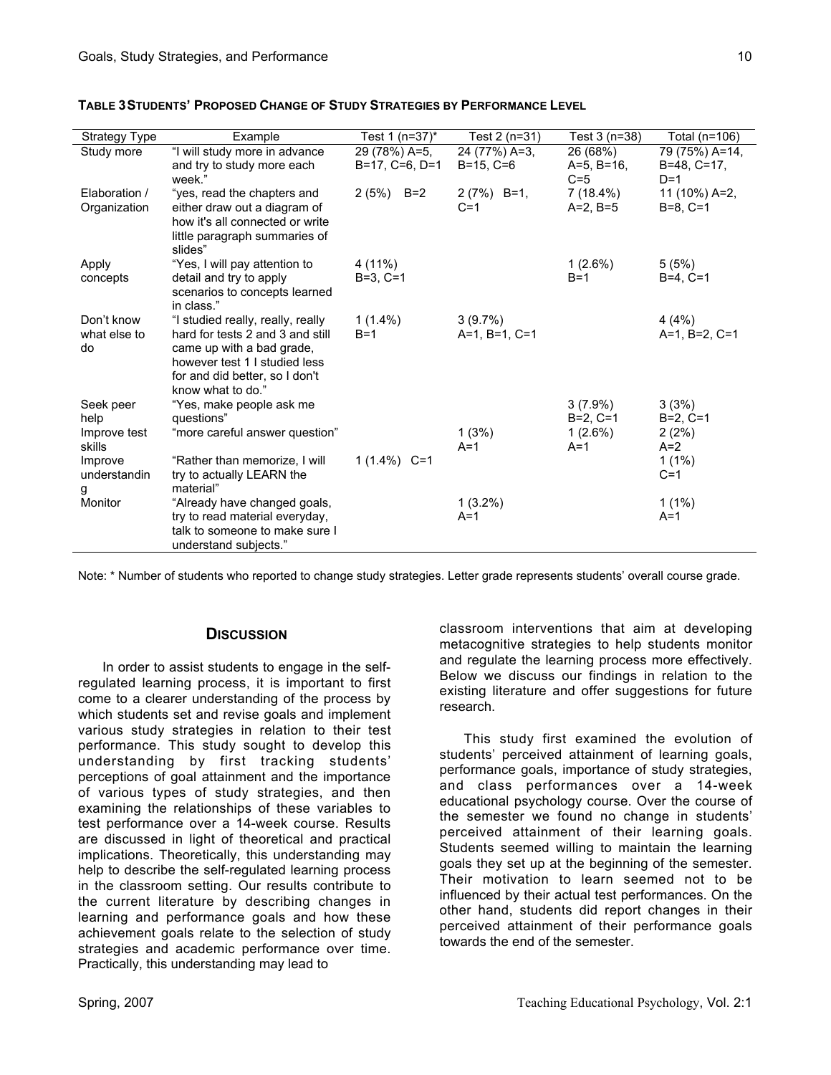| <b>Strategy Type</b>       | Example                                                               | Test 1 (n=37)*      | Test 2 (n=31)                 | Test 3 (n=38) | Total (n=106)            |
|----------------------------|-----------------------------------------------------------------------|---------------------|-------------------------------|---------------|--------------------------|
| Study more                 | "I will study more in advance                                         | 29 (78%) A=5,       | 24 (77%) A=3,                 | 26 (68%)      | 79 (75%) A=14,           |
|                            | and try to study more each                                            | $B=17, C=6, D=1$    | $B=15, C=6$                   | $A=5, B=16,$  | $B=48, C=17,$            |
|                            | week."                                                                |                     |                               | $C=5$         | $D=1$                    |
| Elaboration /              | "yes, read the chapters and                                           | $2(5%)$ B=2         | $2(7%)$ B=1,                  | 7 (18.4%)     | 11 (10%) A=2,            |
| Organization               | either draw out a diagram of                                          |                     | $C=1$                         | $A=2, B=5$    | $B=8. C=1$               |
|                            | how it's all connected or write                                       |                     |                               |               |                          |
|                            | little paragraph summaries of<br>slides"                              |                     |                               |               |                          |
| Apply                      | "Yes, I will pay attention to                                         | 4 (11%)             |                               | $1(2.6\%)$    | 5(5%)                    |
| concepts                   | detail and try to apply                                               | $B=3, C=1$          |                               | $B=1$         | $B=4. C=1$               |
|                            | scenarios to concepts learned                                         |                     |                               |               |                          |
|                            | in class."                                                            |                     |                               |               |                          |
| Don't know<br>what else to | "I studied really, really, really<br>hard for tests 2 and 3 and still | $1(1.4\%)$<br>$B=1$ | $3(9.7\%)$<br>$A=1, B=1, C=1$ |               | 4(4%)<br>$A=1, B=2, C=1$ |
| do                         | came up with a bad grade,                                             |                     |                               |               |                          |
|                            | however test 1 I studied less                                         |                     |                               |               |                          |
|                            | for and did better, so I don't                                        |                     |                               |               |                          |
|                            | know what to do."                                                     |                     |                               |               |                          |
| Seek peer                  | "Yes, make people ask me                                              |                     |                               | $3(7.9\%)$    | 3(3%)                    |
| help                       | questions"                                                            |                     |                               | $B=2, C=1$    | $B=2, C=1$               |
| Improve test               | "more careful answer question"                                        |                     | 1(3%)                         | $1(2.6\%)$    | 2(2%)                    |
| skills                     |                                                                       |                     | $A=1$                         | $A=1$         | $A=2$                    |
| Improve                    | "Rather than memorize, I will                                         | 1 $(1.4\%)$ C=1     |                               |               | $1(1\%)$                 |
| understandin               | try to actually LEARN the                                             |                     |                               |               | $C=1$                    |
| g                          | material"                                                             |                     |                               |               |                          |
| Monitor                    | "Already have changed goals,                                          |                     | $1(3.2\%)$                    |               | $1(1\%)$                 |
|                            | try to read material everyday,                                        |                     | $A=1$                         |               | $A=1$                    |
|                            | talk to someone to make sure I                                        |                     |                               |               |                          |
|                            | understand subjects."                                                 |                     |                               |               |                          |

#### **TABLE 3STUDENTS' PROPOSED CHANGE OF STUDY STRATEGIES BY PERFORMANCE LEVEL**

Note: \* Number of students who reported to change study strategies. Letter grade represents students' overall course grade.

## **DISCUSSION**

In order to assist students to engage in the selfregulated learning process, it is important to first come to a clearer understanding of the process by which students set and revise goals and implement various study strategies in relation to their test performance. This study sought to develop this understanding by first tracking students' perceptions of goal attainment and the importance of various types of study strategies, and then examining the relationships of these variables to test performance over a 14-week course. Results are discussed in light of theoretical and practical implications. Theoretically, this understanding may help to describe the self-regulated learning process in the classroom setting. Our results contribute to the current literature by describing changes in learning and performance goals and how these achievement goals relate to the selection of study strategies and academic performance over time. Practically, this understanding may lead to

classroom interventions that aim at developing metacognitive strategies to help students monitor and regulate the learning process more effectively. Below we discuss our findings in relation to the existing literature and offer suggestions for future research.

This study first examined the evolution of students' perceived attainment of learning goals, performance goals, importance of study strategies, and class performances over a 14-week educational psychology course. Over the course of the semester we found no change in students' perceived attainment of their learning goals. Students seemed willing to maintain the learning goals they set up at the beginning of the semester. Their motivation to learn seemed not to be influenced by their actual test performances. On the other hand, students did report changes in their perceived attainment of their performance goals towards the end of the semester.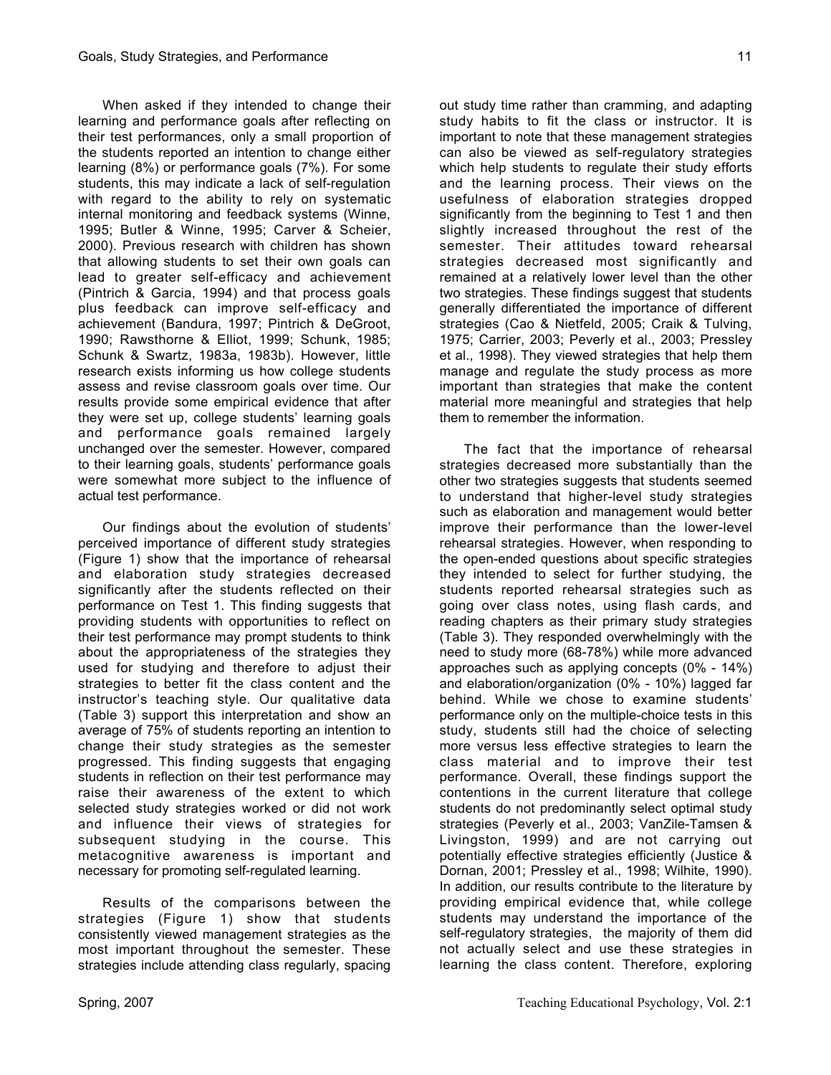When asked if they intended to change their learning and performance goals after reflecting on their test performances, only a small proportion of the students reported an intention to change either learning (8%) or performance goals (7%). For some students, this may indicate a lack of self-regulation with regard to the ability to rely on systematic internal monitoring and feedback systems (Winne, 1995; Butler & Winne, 1995; Carver & Scheier, 2000). Previous research with children has shown that allowing students to set their own goals can lead to greater self-efficacy and achievement (Pintrich & Garcia, 1994) and that process goals plus feedback can improve self-efficacy and achievement (Bandura, 1997; Pintrich & DeGroot, 1990; Rawsthorne & Elliot, 1999; Schunk, 1985; Schunk & Swartz, 1983a, 1983b). However, little research exists informing us how college students assess and revise classroom goals over time. Our results provide some empirical evidence that after they were set up, college students' learning goals and performance goals remained largely unchanged over the semester. However, compared to their learning goals, students' performance goals were somewhat more subject to the influence of actual test performance.

Our findings about the evolution of students' perceived importance of different study strategies (Figure 1) show that the importance of rehearsal and elaboration study strategies decreased significantly after the students reflected on their performance on Test 1. This finding suggests that providing students with opportunities to reflect on their test performance may prompt students to think about the appropriateness of the strategies they used for studying and therefore to adjust their strategies to better fit the class content and the instructor's teaching style. Our qualitative data (Table 3) support this interpretation and show an average of 75% of students reporting an intention to change their study strategies as the semester progressed. This finding suggests that engaging students in reflection on their test performance may raise their awareness of the extent to which selected study strategies worked or did not work and influence their views of strategies for subsequent studying in the course. This metacognitive awareness is important and necessary for promoting self-regulated learning.

Results of the comparisons between the strategies (Figure 1) show that students consistently viewed management strategies as the most important throughout the semester. These strategies include attending class regularly, spacing out study time rather than cramming, and adapting study habits to fit the class or instructor. It is important to note that these management strategies can also be viewed as self-regulatory strategies which help students to regulate their study efforts and the learning process. Their views on the usefulness of elaboration strategies dropped significantly from the beginning to Test 1 and then slightly increased throughout the rest of the semester. Their attitudes toward rehearsal strategies decreased most significantly and remained at a relatively lower level than the other two strategies. These findings suggest that students generally differentiated the importance of different strategies (Cao & Nietfeld, 2005; Craik & Tulving, 1975; Carrier, 2003; Peverly et al., 2003; Pressley et al., 1998). They viewed strategies that help them manage and regulate the study process as more important than strategies that make the content material more meaningful and strategies that help them to remember the information.

The fact that the importance of rehearsal strategies decreased more substantially than the other two strategies suggests that students seemed to understand that higher-level study strategies such as elaboration and management would better improve their performance than the lower-level rehearsal strategies. However, when responding to the open-ended questions about specific strategies they intended to select for further studying, the students reported rehearsal strategies such as going over class notes, using flash cards, and reading chapters as their primary study strategies (Table 3). They responded overwhelmingly with the need to study more (68-78%) while more advanced approaches such as applying concepts (0% - 14%) and elaboration/organization (0% - 10%) lagged far behind. While we chose to examine students' performance only on the multiple-choice tests in this study, students still had the choice of selecting more versus less effective strategies to learn the class material and to improve their test performance. Overall, these findings support the contentions in the current literature that college students do not predominantly select optimal study strategies (Peverly et al., 2003; VanZile-Tamsen & Livingston, 1999) and are not carrying out potentially effective strategies efficiently (Justice & Dornan, 2001; Pressley et al., 1998; Wilhite, 1990). In addition, our results contribute to the literature by providing empirical evidence that, while college students may understand the importance of the self-regulatory strategies, the majority of them did not actually select and use these strategies in learning the class content. Therefore, exploring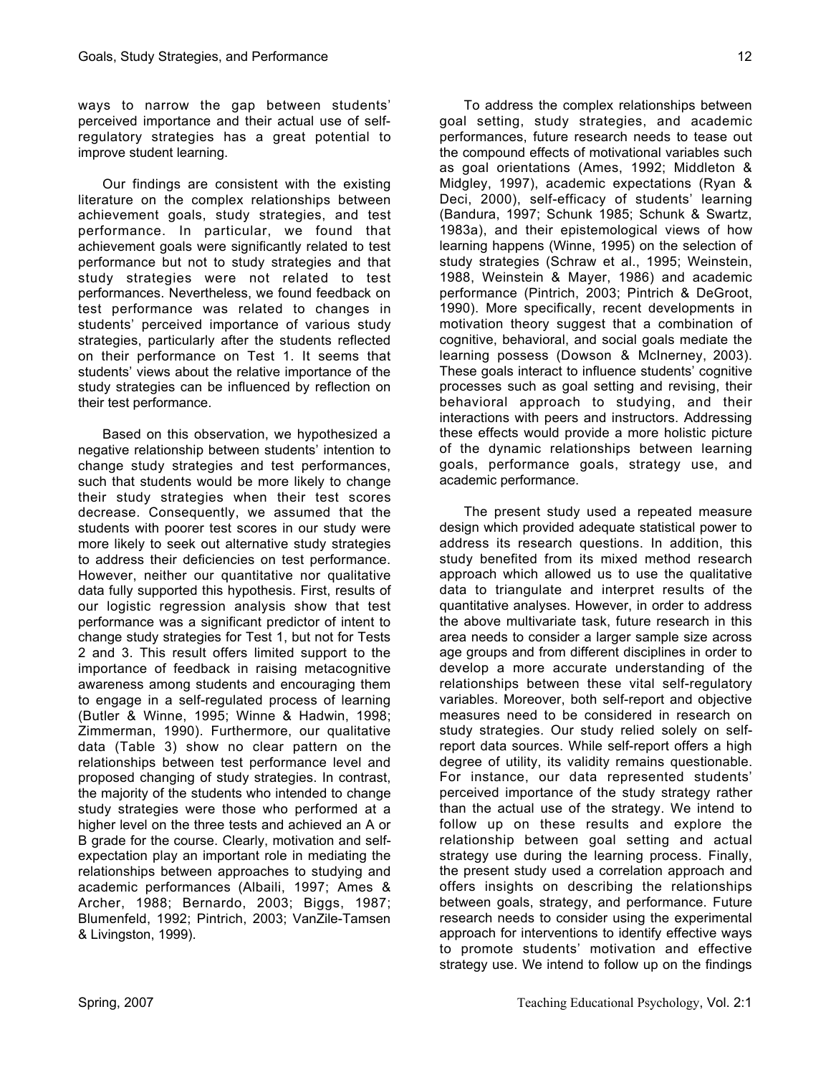ways to narrow the gap between students' perceived importance and their actual use of selfregulatory strategies has a great potential to improve student learning.

Our findings are consistent with the existing literature on the complex relationships between achievement goals, study strategies, and test performance. In particular, we found that achievement goals were significantly related to test performance but not to study strategies and that study strategies were not related to test performances. Nevertheless, we found feedback on test performance was related to changes in students' perceived importance of various study strategies, particularly after the students reflected on their performance on Test 1. It seems that students' views about the relative importance of the study strategies can be influenced by reflection on their test performance.

Based on this observation, we hypothesized a negative relationship between students' intention to change study strategies and test performances, such that students would be more likely to change their study strategies when their test scores decrease. Consequently, we assumed that the students with poorer test scores in our study were more likely to seek out alternative study strategies to address their deficiencies on test performance. However, neither our quantitative nor qualitative data fully supported this hypothesis. First, results of our logistic regression analysis show that test performance was a significant predictor of intent to change study strategies for Test 1, but not for Tests 2 and 3. This result offers limited support to the importance of feedback in raising metacognitive awareness among students and encouraging them to engage in a self-regulated process of learning (Butler & Winne, 1995; Winne & Hadwin, 1998; Zimmerman, 1990). Furthermore, our qualitative data (Table 3) show no clear pattern on the relationships between test performance level and proposed changing of study strategies. In contrast, the majority of the students who intended to change study strategies were those who performed at a higher level on the three tests and achieved an A or B grade for the course. Clearly, motivation and selfexpectation play an important role in mediating the relationships between approaches to studying and academic performances (Albaili, 1997; Ames & Archer, 1988; Bernardo, 2003; Biggs, 1987; Blumenfeld, 1992; Pintrich, 2003; VanZile-Tamsen & Livingston, 1999).

To address the complex relationships between goal setting, study strategies, and academic performances, future research needs to tease out the compound effects of motivational variables such as goal orientations (Ames, 1992; Middleton & Midgley, 1997), academic expectations (Ryan & Deci, 2000), self-efficacy of students' learning (Bandura, 1997; Schunk 1985; Schunk & Swartz, 1983a), and their epistemological views of how learning happens (Winne, 1995) on the selection of study strategies (Schraw et al., 1995; Weinstein, 1988, Weinstein & Mayer, 1986) and academic performance (Pintrich, 2003; Pintrich & DeGroot, 1990). More specifically, recent developments in motivation theory suggest that a combination of cognitive, behavioral, and social goals mediate the learning possess (Dowson & McInerney, 2003). These goals interact to influence students' cognitive processes such as goal setting and revising, their behavioral approach to studying, and their interactions with peers and instructors. Addressing these effects would provide a more holistic picture of the dynamic relationships between learning goals, performance goals, strategy use, and academic performance.

The present study used a repeated measure design which provided adequate statistical power to address its research questions. In addition, this study benefited from its mixed method research approach which allowed us to use the qualitative data to triangulate and interpret results of the quantitative analyses. However, in order to address the above multivariate task, future research in this area needs to consider a larger sample size across age groups and from different disciplines in order to develop a more accurate understanding of the relationships between these vital self-regulatory variables. Moreover, both self-report and objective measures need to be considered in research on study strategies. Our study relied solely on selfreport data sources. While self-report offers a high degree of utility, its validity remains questionable. For instance, our data represented students' perceived importance of the study strategy rather than the actual use of the strategy. We intend to follow up on these results and explore the relationship between goal setting and actual strategy use during the learning process. Finally, the present study used a correlation approach and offers insights on describing the relationships between goals, strategy, and performance. Future research needs to consider using the experimental approach for interventions to identify effective ways to promote students' motivation and effective strategy use. We intend to follow up on the findings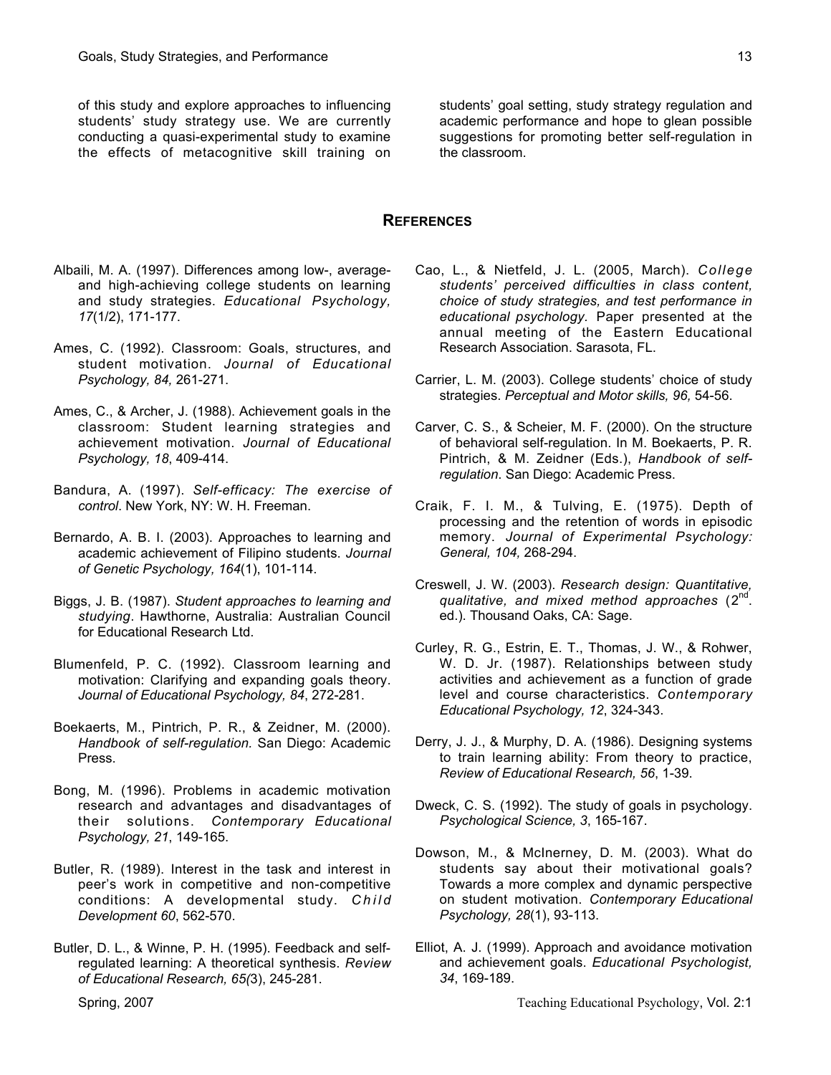of this study and explore approaches to influencing students' study strategy use. We are currently conducting a quasi-experimental study to examine the effects of metacognitive skill training on

students' goal setting, study strategy regulation and academic performance and hope to glean possible suggestions for promoting better self-regulation in the classroom.

## **REFERENCES**

- Albaili, M. A. (1997). Differences among low-, averageand high-achieving college students on learning and study strategies. *Educational Psychology, 17*(1/2), 171-177.
- Ames, C. (1992). Classroom: Goals, structures, and student motivation. *Journal of Educational Psychology, 84,* 261-271.
- Ames, C., & Archer, J. (1988). Achievement goals in the classroom: Student learning strategies and achievement motivation. *Journal of Educational Psychology, 18*, 409-414.
- Bandura, A. (1997). *Self-efficacy: The exercise of control*. New York, NY: W. H. Freeman.
- Bernardo, A. B. I. (2003). Approaches to learning and academic achievement of Filipino students. *Journal of Genetic Psychology, 164*(1), 101-114.
- Biggs, J. B. (1987). *Student approaches to learning and studying*. Hawthorne, Australia: Australian Council for Educational Research Ltd.
- Blumenfeld, P. C. (1992). Classroom learning and motivation: Clarifying and expanding goals theory. *Journal of Educational Psychology, 84*, 272-281.
- Boekaerts, M., Pintrich, P. R., & Zeidner, M. (2000). *Handbook of self-regulation.* San Diego: Academic Press.
- Bong, M. (1996). Problems in academic motivation research and advantages and disadvantages of their solutions. *Contemporary Educational Psychology, 21*, 149-165.
- Butler, R. (1989). Interest in the task and interest in peer's work in competitive and non-competitive conditions: A developmental study. *Child Development 60*, 562-570.
- Butler, D. L., & Winne, P. H. (1995). Feedback and selfregulated learning: A theoretical synthesis. *Review of Educational Research, 65(*3), 245-281.
- Cao, L., & Nietfeld, J. L. (2005, March). *College students' perceived difficulties in class content, choice of study strategies, and test performance in educational psychology.* Paper presented at the annual meeting of the Eastern Educational Research Association. Sarasota, FL.
- Carrier, L. M. (2003). College students' choice of study strategies. *Perceptual and Motor skills, 96,* 54-56.
- Carver, C. S., & Scheier, M. F. (2000). On the structure of behavioral self-regulation. In M. Boekaerts, P. R. Pintrich, & M. Zeidner (Eds.), *Handbook of selfregulation*. San Diego: Academic Press.
- Craik, F. I. M., & Tulving, E. (1975). Depth of processing and the retention of words in episodic memory. *Journal of Experimental Psychology: General, 104,* 268-294.
- Creswell, J. W. (2003). *Research design: Quantitative, qualitative, and mixed method approaches* (2nd. ed.). Thousand Oaks, CA: Sage.
- Curley, R. G., Estrin, E. T., Thomas, J. W., & Rohwer, W. D. Jr. (1987). Relationships between study activities and achievement as a function of grade level and course characteristics. *Contemporary Educational Psychology, 12*, 324-343.
- Derry, J. J., & Murphy, D. A. (1986). Designing systems to train learning ability: From theory to practice, *Review of Educational Research, 56*, 1-39.
- Dweck, C. S. (1992). The study of goals in psychology. *Psychological Science, 3*, 165-167.
- Dowson, M., & McInerney, D. M. (2003). What do students say about their motivational goals? Towards a more complex and dynamic perspective on student motivation. *Contemporary Educational Psychology, 28*(1), 93-113.
- Elliot, A. J. (1999). Approach and avoidance motivation and achievement goals. *Educational Psychologist, 34*, 169-189.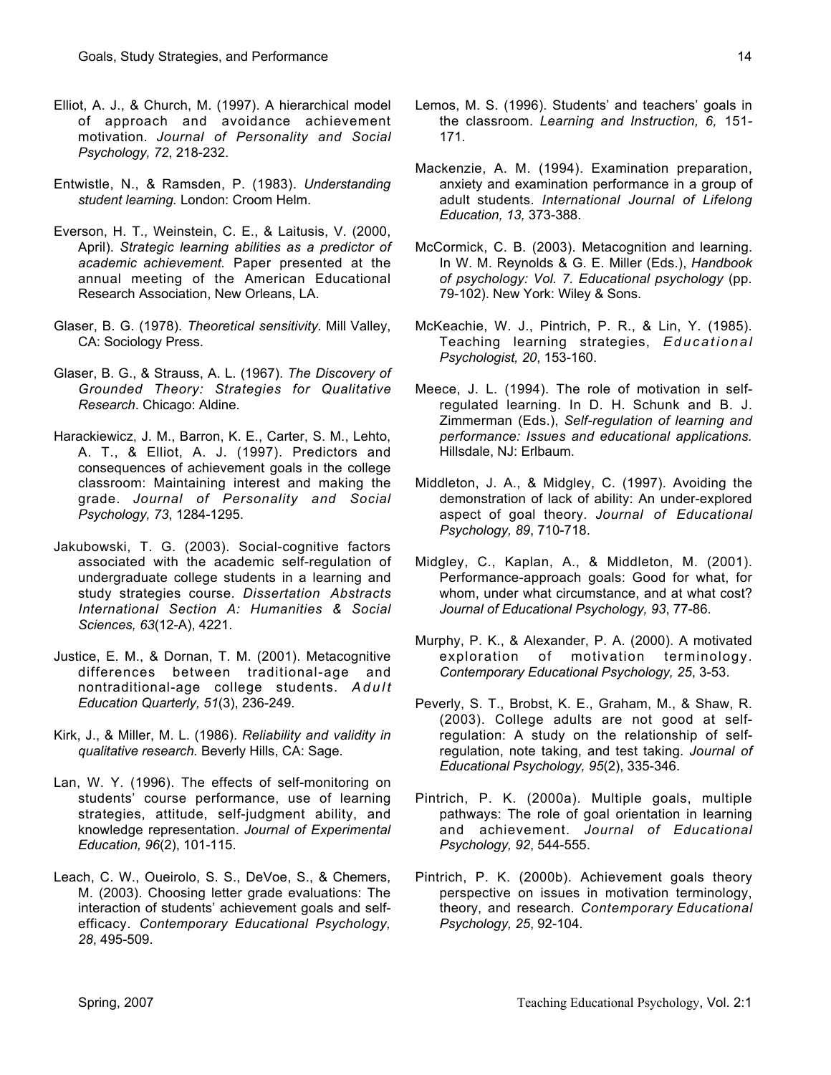- Elliot, A. J., & Church, M. (1997). A hierarchical model of approach and avoidance achievement motivation. *Journal of Personality and Social Psychology, 72*, 218-232.
- Entwistle, N., & Ramsden, P. (1983). *Understanding student learning.* London: Croom Helm.
- Everson, H. T., Weinstein, C. E., & Laitusis, V. (2000, April). *Strategic learning abilities as a predictor of academic achievement*. Paper presented at the annual meeting of the American Educational Research Association, New Orleans, LA.
- Glaser, B. G. (1978). *Theoretical sensitivity.* Mill Valley, CA: Sociology Press.
- Glaser, B. G., & Strauss, A. L. (1967). *The Discovery of Grounded Theory: Strategies for Qualitative Research*. Chicago: Aldine.
- Harackiewicz, J. M., Barron, K. E., Carter, S. M., Lehto, A. T., & Elliot, A. J. (1997). Predictors and consequences of achievement goals in the college classroom: Maintaining interest and making the grade. *Journal of Personality and Social Psychology, 73*, 1284-1295.
- Jakubowski, T. G. (2003). Social-cognitive factors associated with the academic self-regulation of undergraduate college students in a learning and study strategies course. *Dissertation Abstracts International Section A: Humanities & Social Sciences, 63*(12-A), 4221.
- Justice, E. M., & Dornan, T. M. (2001). Metacognitive differences between traditional-age and nontraditional-age college students. *Adult Education Quarterly, 51*(3), 236-249.
- Kirk, J., & Miller, M. L. (1986). *Reliability and validity in qualitative research.* Beverly Hills, CA: Sage.
- Lan, W. Y. (1996). The effects of self-monitoring on students' course performance, use of learning strategies, attitude, self-judgment ability, and knowledge representation. *Journal of Experimental Education, 96*(2), 101-115.
- Leach, C. W., Oueirolo, S. S., DeVoe, S., & Chemers, M. (2003). Choosing letter grade evaluations: The interaction of students' achievement goals and selfefficacy. *Contemporary Educational Psychology, 28*, 495-509.
- Lemos, M. S. (1996). Students' and teachers' goals in the classroom. *Learning and Instruction, 6,* 151- 171.
- Mackenzie, A. M. (1994). Examination preparation, anxiety and examination performance in a group of adult students. *International Journal of Lifelong Education, 13,* 373-388.
- McCormick, C. B. (2003). Metacognition and learning. In W. M. Reynolds & G. E. Miller (Eds.), *Handbook of psychology: Vol. 7. Educational psychology* (pp. 79-102). New York: Wiley & Sons.
- McKeachie, W. J., Pintrich, P. R., & Lin, Y. (1985). Teaching learning strategies, *Educational Psychologist, 20*, 153-160.
- Meece, J. L. (1994). The role of motivation in selfregulated learning. In D. H. Schunk and B. J. Zimmerman (Eds.), *Self-regulation of learning and performance: Issues and educational applications.* Hillsdale, NJ: Erlbaum.
- Middleton, J. A., & Midgley, C. (1997). Avoiding the demonstration of lack of ability: An under-explored aspect of goal theory. *Journal of Educational Psychology, 89*, 710-718.
- Midgley, C., Kaplan, A., & Middleton, M. (2001). Performance-approach goals: Good for what, for whom, under what circumstance, and at what cost? *Journal of Educational Psychology, 93*, 77-86.
- Murphy, P. K., & Alexander, P. A. (2000). A motivated exploration of motivation terminology. *Contemporary Educational Psychology, 25*, 3-53.
- Peverly, S. T., Brobst, K. E., Graham, M., & Shaw, R. (2003). College adults are not good at selfregulation: A study on the relationship of selfregulation, note taking, and test taking. *Journal of Educational Psychology, 95*(2), 335-346.
- Pintrich, P. K. (2000a). Multiple goals, multiple pathways: The role of goal orientation in learning and achievement. *Journal of Educational Psychology, 92*, 544-555.
- Pintrich, P. K. (2000b). Achievement goals theory perspective on issues in motivation terminology, theory, and research. *Contemporary Educational Psychology, 25*, 92-104.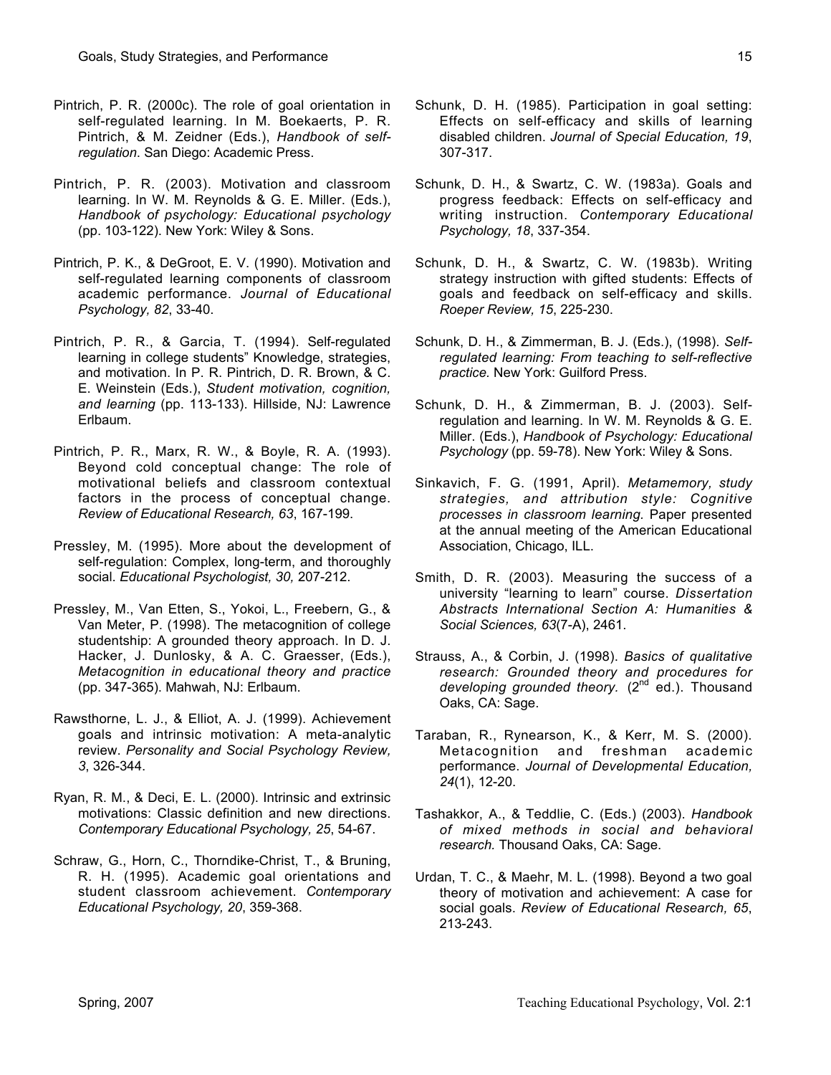- Pintrich, P. R. (2000c). The role of goal orientation in self-regulated learning. In M. Boekaerts, P. R. Pintrich, & M. Zeidner (Eds.), *Handbook of selfregulation*. San Diego: Academic Press.
- Pintrich, P. R. (2003). Motivation and classroom learning. In W. M. Reynolds & G. E. Miller. (Eds.), *Handbook of psychology: Educational psychology* (pp. 103-122). New York: Wiley & Sons.
- Pintrich, P. K., & DeGroot, E. V. (1990). Motivation and self-regulated learning components of classroom academic performance. *Journal of Educational Psychology, 82*, 33-40.
- Pintrich, P. R., & Garcia, T. (1994). Self-regulated learning in college students" Knowledge, strategies, and motivation. In P. R. Pintrich, D. R. Brown, & C. E. Weinstein (Eds.), *Student motivation, cognition, and learning* (pp. 113-133). Hillside, NJ: Lawrence Erlbaum.
- Pintrich, P. R., Marx, R. W., & Boyle, R. A. (1993). Beyond cold conceptual change: The role of motivational beliefs and classroom contextual factors in the process of conceptual change. *Review of Educational Research, 63*, 167-199.
- Pressley, M. (1995). More about the development of self-regulation: Complex, long-term, and thoroughly social. *Educational Psychologist, 30,* 207-212.
- Pressley, M., Van Etten, S., Yokoi, L., Freebern, G., & Van Meter, P. (1998). The metacognition of college studentship: A grounded theory approach. In D. J. Hacker, J. Dunlosky, & A. C. Graesser, (Eds.), *Metacognition in educational theory and practice* (pp. 347-365). Mahwah, NJ: Erlbaum.
- Rawsthorne, L. J., & Elliot, A. J. (1999). Achievement goals and intrinsic motivation: A meta-analytic review. *Personality and Social Psychology Review, 3*, 326-344.
- Ryan, R. M., & Deci, E. L. (2000). Intrinsic and extrinsic motivations: Classic definition and new directions. *Contemporary Educational Psychology, 25*, 54-67.
- Schraw, G., Horn, C., Thorndike-Christ, T., & Bruning, R. H. (1995). Academic goal orientations and student classroom achievement. *Contemporary Educational Psychology, 20*, 359-368.
- Schunk, D. H. (1985). Participation in goal setting: Effects on self-efficacy and skills of learning disabled children. *Journal of Special Education, 19*, 307-317.
- Schunk, D. H., & Swartz, C. W. (1983a). Goals and progress feedback: Effects on self-efficacy and writing instruction. *Contemporary Educational Psychology, 18*, 337-354.
- Schunk, D. H., & Swartz, C. W. (1983b). Writing strategy instruction with gifted students: Effects of goals and feedback on self-efficacy and skills. *Roeper Review, 15*, 225-230.
- Schunk, D. H., & Zimmerman, B. J. (Eds.), (1998). *Selfregulated learning: From teaching to self-reflective practice.* New York: Guilford Press.
- Schunk, D. H., & Zimmerman, B. J. (2003). Selfregulation and learning. In W. M. Reynolds & G. E. Miller. (Eds.), *Handbook of Psychology: Educational Psychology* (pp. 59-78). New York: Wiley & Sons.
- Sinkavich, F. G. (1991, April). *Metamemory, study strategies, and attribution style: Cognitive processes in classroom learning.* Paper presented at the annual meeting of the American Educational Association, Chicago, ILL.
- Smith, D. R. (2003). Measuring the success of a university "learning to learn" course. *Dissertation Abstracts International Section A: Humanities & Social Sciences, 63*(7-A), 2461.
- Strauss, A., & Corbin, J. (1998). *Basics of qualitative research: Grounded theory and procedures for* developing grounded theory. (2<sup>nd ed.</sup>). Thousand Oaks, CA: Sage.
- Taraban, R., Rynearson, K., & Kerr, M. S. (2000). Metacognition and freshman academic performance. *Journal of Developmental Education, 24*(1), 12-20.
- Tashakkor, A., & Teddlie, C. (Eds.) (2003). *Handbook of mixed methods in social and behavioral research.* Thousand Oaks, CA: Sage.
- Urdan, T. C., & Maehr, M. L. (1998). Beyond a two goal theory of motivation and achievement: A case for social goals. *Review of Educational Research, 65*, 213-243.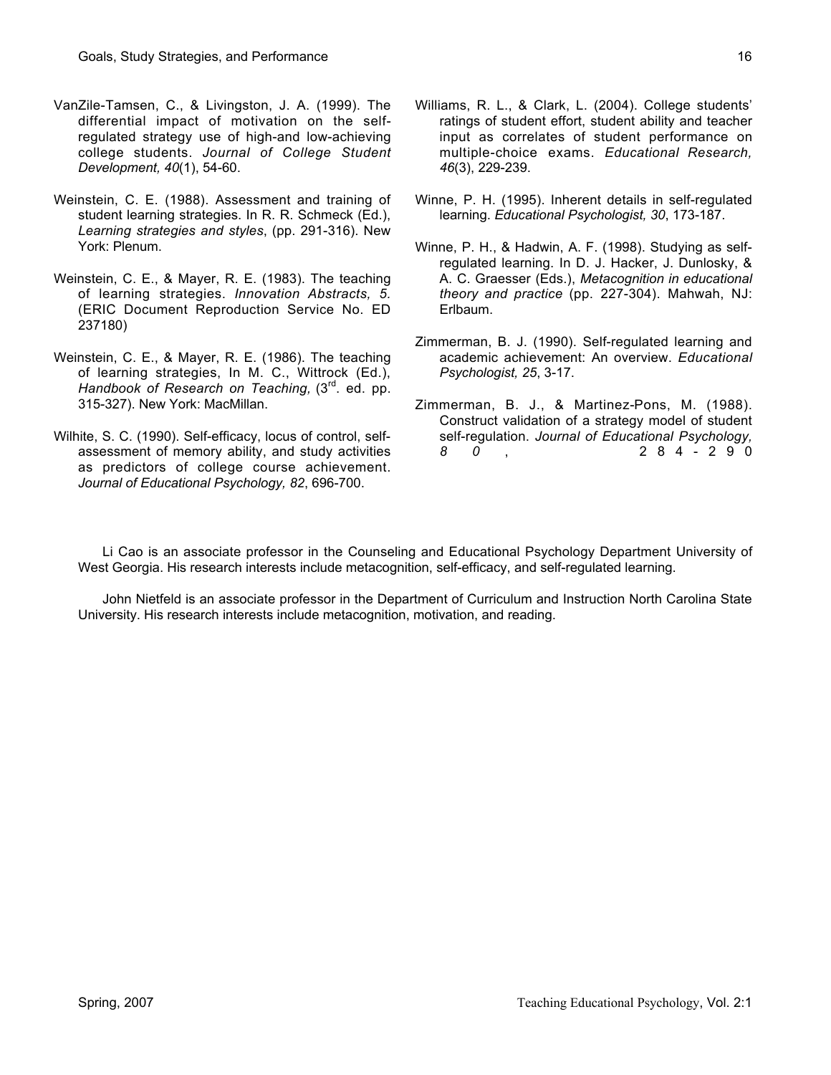- VanZile-Tamsen, C., & Livingston, J. A. (1999). The differential impact of motivation on the selfregulated strategy use of high-and low-achieving college students. *Journal of College Student Development, 40*(1), 54-60.
- Weinstein, C. E. (1988). Assessment and training of student learning strategies. In R. R. Schmeck (Ed.), *Learning strategies and styles*, (pp. 291-316). New York: Plenum.
- Weinstein, C. E., & Mayer, R. E. (1983). The teaching of learning strategies. *Innovation Abstracts, 5.* (ERIC Document Reproduction Service No. ED 237180)
- Weinstein, C. E., & Mayer, R. E. (1986). The teaching of learning strategies, In M. C., Wittrock (Ed.), *Handbook of Research on Teaching,* (3<sup>rd</sup>. ed. pp. 315-327). New York: MacMillan.
- Wilhite, S. C. (1990). Self-efficacy, locus of control, selfassessment of memory ability, and study activities as predictors of college course achievement. *Journal of Educational Psychology, 82*, 696-700.
- Williams, R. L., & Clark, L. (2004). College students' ratings of student effort, student ability and teacher input as correlates of student performance on multiple-choice exams. *Educational Research, 46*(3), 229-239.
- Winne, P. H. (1995). Inherent details in self-regulated learning. *Educational Psychologist, 30*, 173-187.
- Winne, P. H., & Hadwin, A. F. (1998). Studying as selfregulated learning. In D. J. Hacker, J. Dunlosky, & A. C. Graesser (Eds.), *Metacognition in educational theory and practice* (pp. 227-304). Mahwah, NJ: Erlbaum.
- Zimmerman, B. J. (1990). Self-regulated learning and academic achievement: An overview. *Educational Psychologist, 25*, 3-17.
- Zimmerman, B. J., & Martinez-Pons, M. (1988). Construct validation of a strategy model of student self-regulation. *Journal of Educational Psychology, 8 0* , 284-290

Li Cao is an associate professor in the Counseling and Educational Psychology Department University of West Georgia. His research interests include metacognition, self-efficacy, and self-regulated learning.

John Nietfeld is an associate professor in the Department of Curriculum and Instruction North Carolina State University. His research interests include metacognition, motivation, and reading.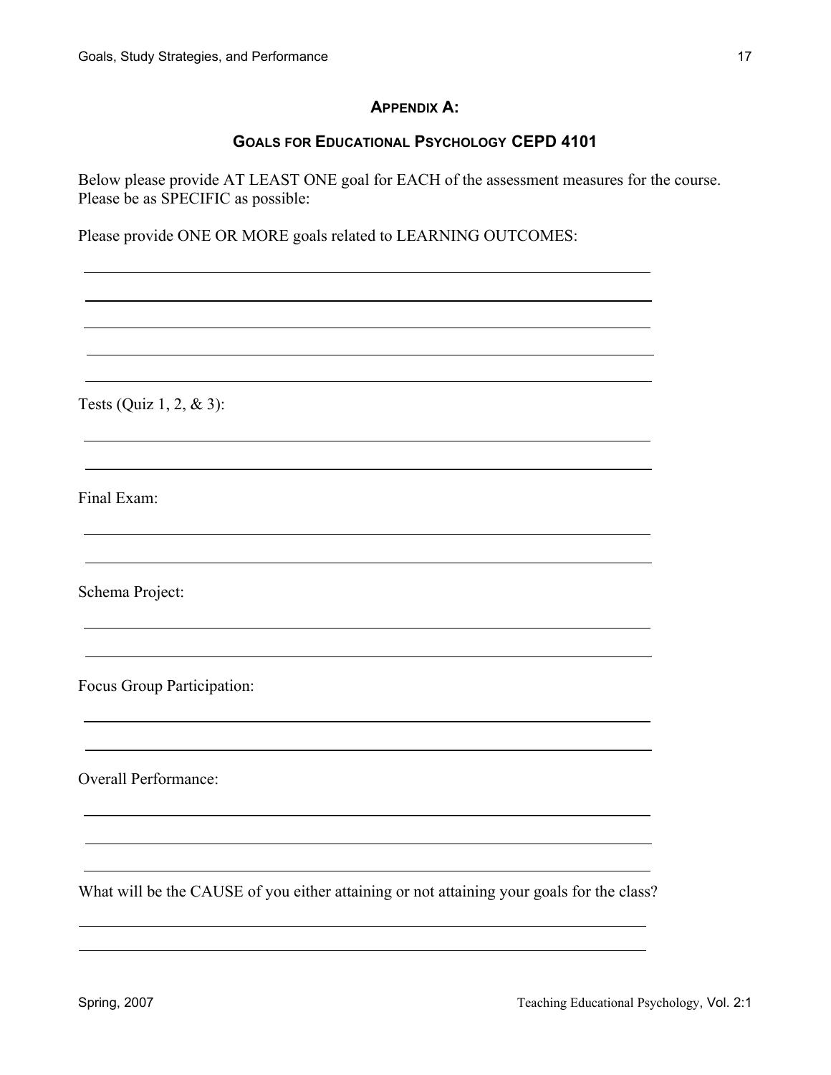# **APPENDIX A:**

# **GOALS FOR EDUCATIONAL PSYCHOLOGY CEPD 4101**

Below please provide AT LEAST ONE goal for EACH of the assessment measures for the course. Please be as SPECIFIC as possible:

Please provide ONE OR MORE goals related to LEARNING OUTCOMES:

Tests (Quiz 1, 2, & 3):

Final Exam:

Schema Project:

Focus Group Participation:

Overall Performance:

What will be the CAUSE of you either attaining or not attaining your goals for the class?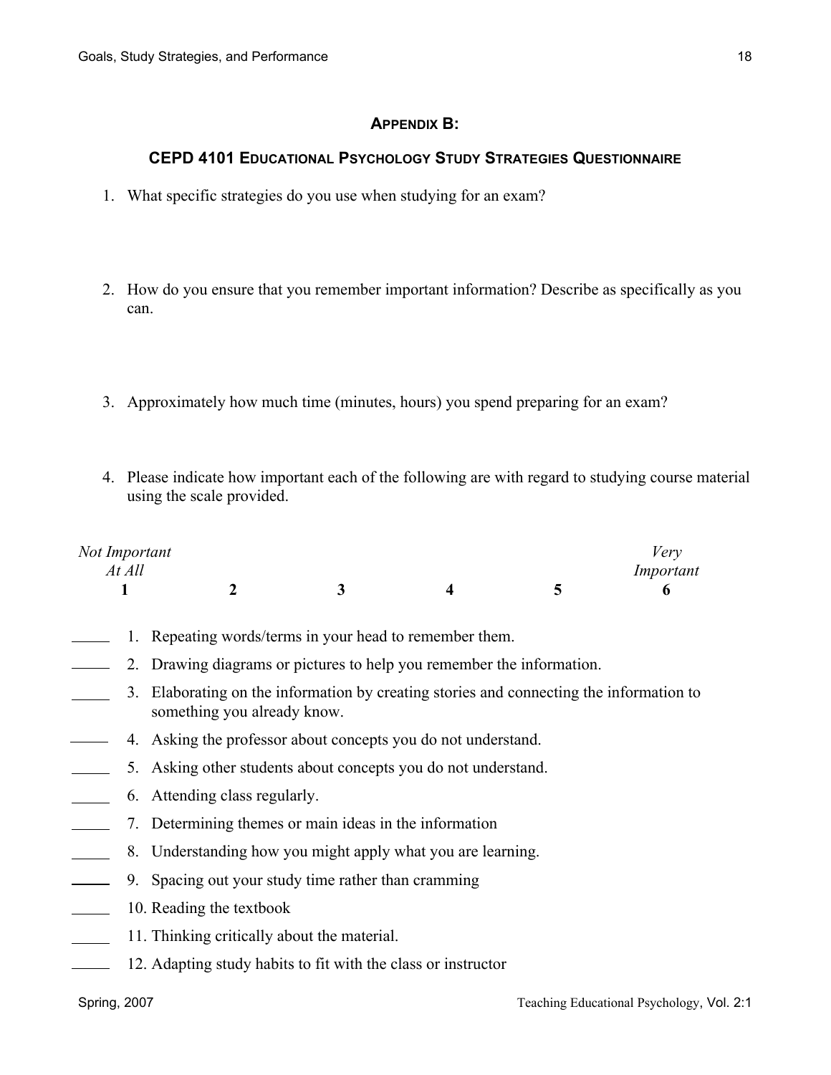# **APPENDIX B:**

# **CEPD 4101 EDUCATIONAL PSYCHOLOGY STUDY STRATEGIES QUESTIONNAIRE**

- 1. What specific strategies do you use when studying for an exam?
- 2. How do you ensure that you remember important information? Describe as specifically as you can.
- 3. Approximately how much time (minutes, hours) you spend preparing for an exam?
- 4. Please indicate how important each of the following are with regard to studying course material using the scale provided.

| Not Important |  |  | '/erv     |
|---------------|--|--|-----------|
| At All        |  |  | Important |
|               |  |  |           |

- 1. Repeating words/terms in your head to remember them.
- 2. Drawing diagrams or pictures to help you remember the information.  $\overline{\phantom{a}}$
- 3. Elaborating on the information by creating stories and connecting the information to something you already know.
- 4. Asking the professor about concepts you do not understand.
- 5. Asking other students about concepts you do not understand.
- 6. Attending class regularly.
- 7. Determining themes or main ideas in the information
- 8. Understanding how you might apply what you are learning.
- 9. Spacing out your study time rather than cramming  $\sim$  100  $\mu$
- 10. Reading the textbook  $\overline{\phantom{a}}$
- 11. Thinking critically about the material.
- 12. Adapting study habits to fit with the class or instructor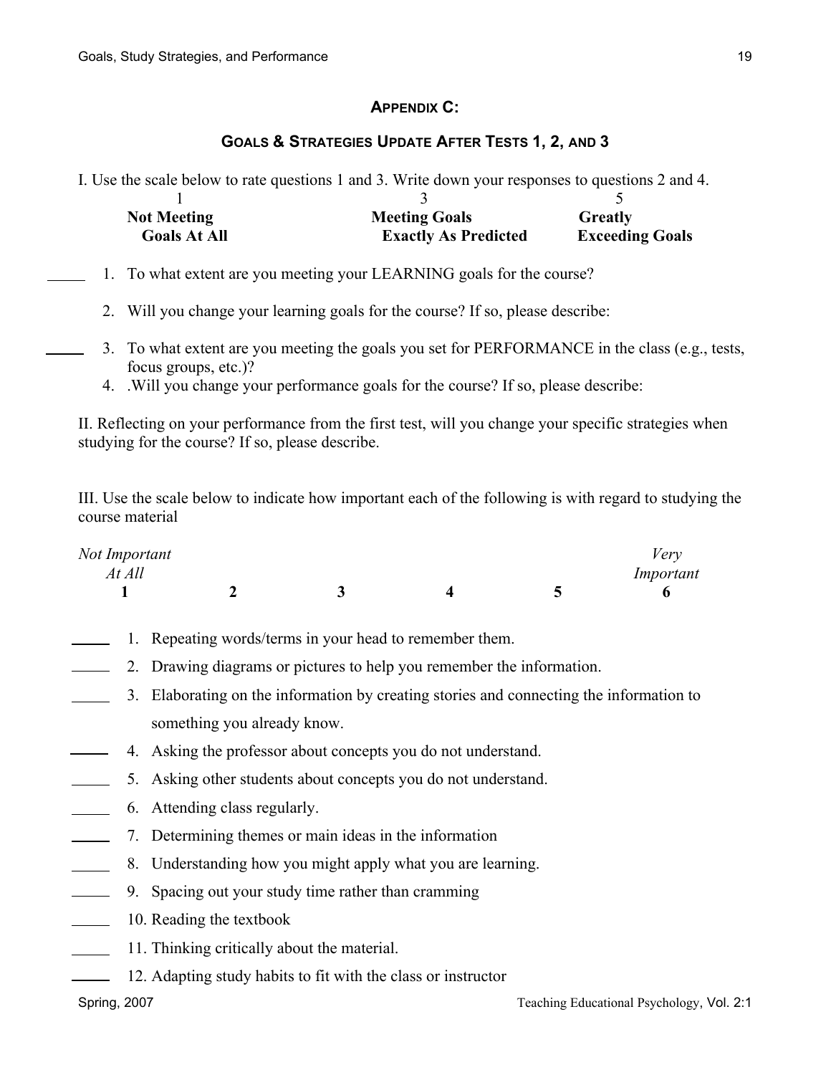# **APPENDIX C:**

# **GOALS & STRATEGIES UPDATE AFTER TESTS 1, 2, AND 3**

I. Use the scale below to rate questions 1 and 3. Write down your responses to questions 2 and 4.

| <b>Not Meeting</b>  | <b>Meeting Goals</b>        | Greatly                |
|---------------------|-----------------------------|------------------------|
| <b>Goals At All</b> | <b>Exactly As Predicted</b> | <b>Exceeding Goals</b> |

- 1. To what extent are you meeting your LEARNING goals for the course?
	- 2. Will you change your learning goals for the course? If so, please describe:
	- 3. To what extent are you meeting the goals you set for PERFORMANCE in the class (e.g., tests, focus groups, etc.)?
	- 4. .Will you change your performance goals for the course? If so, please describe:

II. Reflecting on your performance from the first test, will you change your specific strategies when studying for the course? If so, please describe.

III. Use the scale below to indicate how important each of the following is with regard to studying the course material

| Not Important |  |  | Verv      |
|---------------|--|--|-----------|
| At All        |  |  | Important |
|               |  |  |           |

- 1. Repeating words/terms in your head to remember them.
- 2. Drawing diagrams or pictures to help you remember the information.  $\mathcal{L}(\mathcal{L})$
- 3. Elaborating on the information by creating stories and connecting the information to something you already know.
- 4. Asking the professor about concepts you do not understand.
- 5. Asking other students about concepts you do not understand.
- 6. Attending class regularly.
- 7. Determining themes or main ideas in the information  $\overline{\phantom{a}}$
- 8. Understanding how you might apply what you are learning.
- 9. Spacing out your study time rather than cramming
- 10. Reading the textbook
- 11. Thinking critically about the material.
- 12. Adapting study habits to fit with the class or instructor